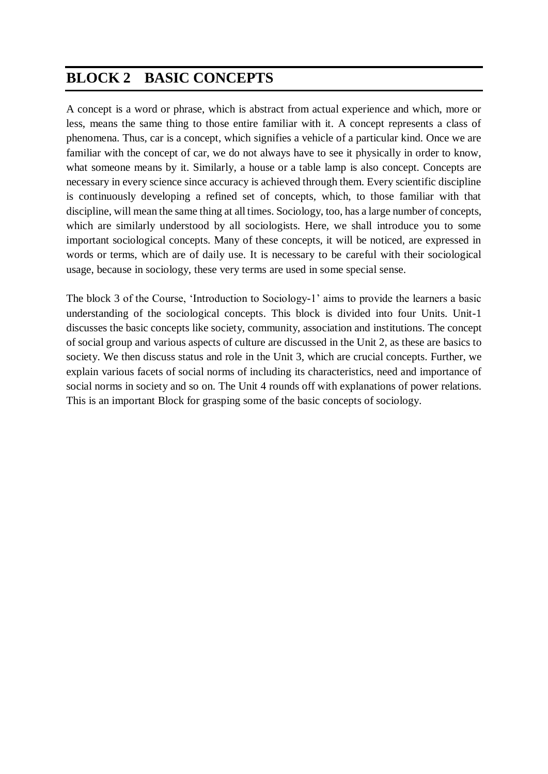# **BLOCK 2 BASIC CONCEPTS**

A concept is a word or phrase, which is abstract from actual experience and which, more or less, means the same thing to those entire familiar with it. A concept represents a class of phenomena. Thus, car is a concept, which signifies a vehicle of a particular kind. Once we are familiar with the concept of car, we do not always have to see it physically in order to know, what someone means by it. Similarly, a house or a table lamp is also concept. Concepts are necessary in every science since accuracy is achieved through them. Every scientific discipline is continuously developing a refined set of concepts, which, to those familiar with that discipline, will mean the same thing at all times. Sociology, too, has a large number of concepts, which are similarly understood by all sociologists. Here, we shall introduce you to some important sociological concepts. Many of these concepts, it will be noticed, are expressed in words or terms, which are of daily use. It is necessary to be careful with their sociological usage, because in sociology, these very terms are used in some special sense.

The block 3 of the Course, 'Introduction to Sociology-1' aims to provide the learners a basic understanding of the sociological concepts. This block is divided into four Units. Unit-1 discusses the basic concepts like society, community, association and institutions. The concept of social group and various aspects of culture are discussed in the Unit 2, as these are basics to society. We then discuss status and role in the Unit 3, which are crucial concepts. Further, we explain various facets of social norms of including its characteristics, need and importance of social norms in society and so on. The Unit 4 rounds off with explanations of power relations. This is an important Block for grasping some of the basic concepts of sociology.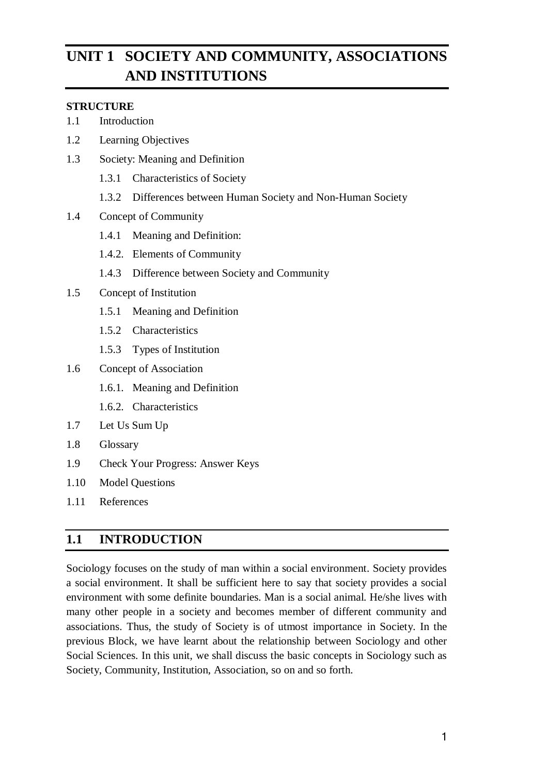# **UNIT 1 SOCIETY AND COMMUNITY, ASSOCIATIONS AND INSTITUTIONS**

#### **STRUCTURE**

- 1.1 Introduction
- 1.2 Learning Objectives
- 1.3 Society: Meaning and Definition
	- 1.3.1 Characteristics of Society
	- 1.3.2 Differences between Human Society and Non-Human Society
- 1.4 Concept of Community
	- 1.4.1 Meaning and Definition:
	- 1.4.2. Elements of Community
	- 1.4.3 Difference between Society and Community
- 1.5 Concept of Institution
	- 1.5.1 Meaning and Definition
	- 1.5.2 Characteristics
	- 1.5.3 Types of Institution
- 1.6 Concept of Association
	- 1.6.1. Meaning and Definition
	- 1.6.2. Characteristics
- 1.7 Let Us Sum Up
- 1.8 Glossary
- 1.9 Check Your Progress: Answer Keys
- 1.10 Model Questions
- 1.11 References

# **1.1 INTRODUCTION**

Sociology focuses on the study of man within a social environment. Society provides a social environment. It shall be sufficient here to say that society provides a social environment with some definite boundaries. Man is a social animal. He/she lives with many other people in a society and becomes member of different community and associations. Thus, the study of Society is of utmost importance in Society. In the previous Block, we have learnt about the relationship between Sociology and other Social Sciences. In this unit, we shall discuss the basic concepts in Sociology such as Society, Community, Institution, Association, so on and so forth.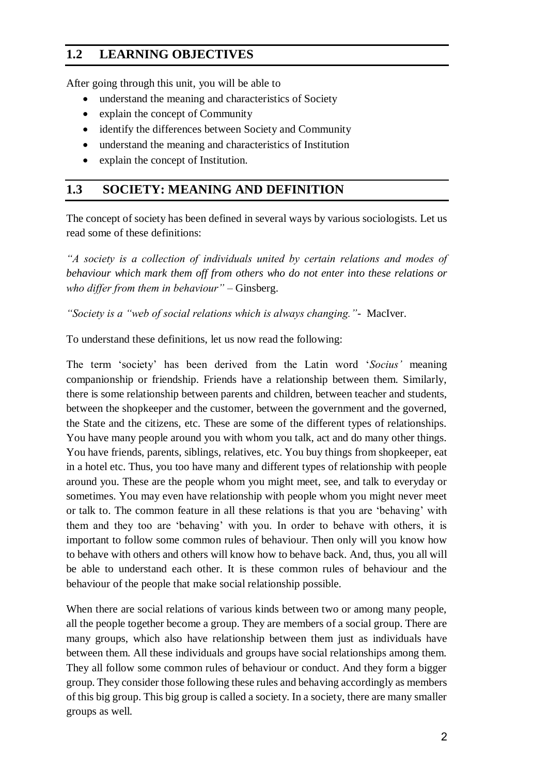# **1.2 LEARNING OBJECTIVES**

After going through this unit, you will be able to

- understand the meaning and characteristics of Society
- explain the concept of Community
- identify the differences between Society and Community
- understand the meaning and characteristics of Institution
- explain the concept of Institution.

## **1.3 SOCIETY: MEANING AND DEFINITION**

The concept of society has been defined in several ways by various sociologists. Let us read some of these definitions:

*"A society is a collection of individuals united by certain relations and modes of behaviour which mark them off from others who do not enter into these relations or who differ from them in behaviour"* – Ginsberg.

*"Society is a "web of social relations which is always changing."-* MacIver.

To understand these definitions, let us now read the following:

The term 'society' has been derived from the Latin word '*Socius'* meaning companionship or friendship. Friends have a relationship between them. Similarly, there is some relationship between parents and children, between teacher and students, between the shopkeeper and the customer, between the government and the governed, the State and the citizens, etc. These are some of the different types of relationships. You have many people around you with whom you talk, act and do many other things. You have friends, parents, siblings, relatives, etc. You buy things from shopkeeper, eat in a hotel etc. Thus, you too have many and different types of relationship with people around you. These are the people whom you might meet, see, and talk to everyday or sometimes. You may even have relationship with people whom you might never meet or talk to. The common feature in all these relations is that you are 'behaving' with them and they too are 'behaving' with you. In order to behave with others, it is important to follow some common rules of behaviour. Then only will you know how to behave with others and others will know how to behave back. And, thus, you all will be able to understand each other. It is these common rules of behaviour and the behaviour of the people that make social relationship possible.

When there are social relations of various kinds between two or among many people, all the people together become a group. They are members of a social group. There are many groups, which also have relationship between them just as individuals have between them. All these individuals and groups have social relationships among them. They all follow some common rules of behaviour or conduct. And they form a bigger group. They consider those following these rules and behaving accordingly as members of this big group. This big group is called a society. In a society, there are many smaller groups as well.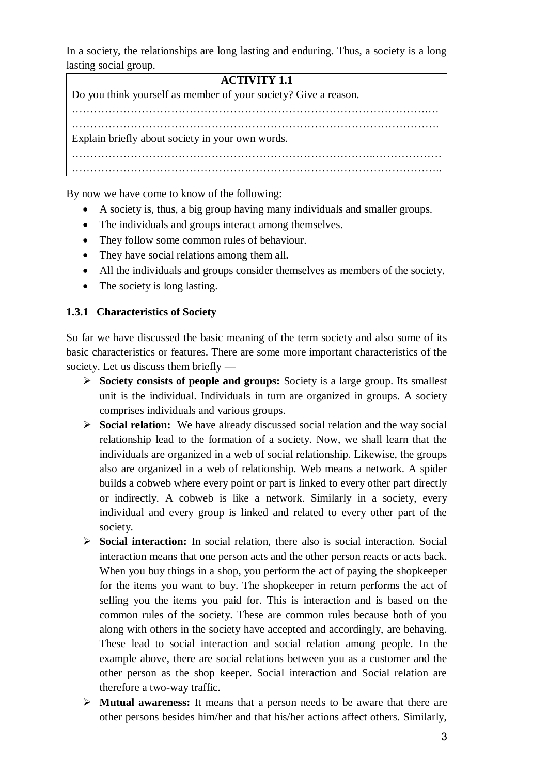In a society, the relationships are long lasting and enduring. Thus, a society is a long lasting social group.

# **ACTIVITY 1.1** Do you think yourself as member of your society? Give a reason. …………………………………………………………………………………….… ………………………………………………………………………………………. Explain briefly about society in your own words. ………………………………………………………………………..……………… ………………………………………………………………………………………..

By now we have come to know of the following:

- A society is, thus, a big group having many individuals and smaller groups.
- The individuals and groups interact among themselves.
- They follow some common rules of behaviour.
- They have social relations among them all.
- All the individuals and groups consider themselves as members of the society.
- The society is long lasting.

#### **1.3.1 Characteristics of Society**

So far we have discussed the basic meaning of the term society and also some of its basic characteristics or features. There are some more important characteristics of the society. Let us discuss them briefly —

- **Society consists of people and groups:** Society is a large group. Its smallest unit is the individual. Individuals in turn are organized in groups. A society comprises individuals and various groups.
- **Social relation:** We have already discussed social relation and the way social relationship lead to the formation of a society. Now, we shall learn that the individuals are organized in a web of social relationship. Likewise, the groups also are organized in a web of relationship. Web means a network. A spider builds a cobweb where every point or part is linked to every other part directly or indirectly. A cobweb is like a network. Similarly in a society, every individual and every group is linked and related to every other part of the society.
- **Social interaction:** In social relation, there also is social interaction. Social interaction means that one person acts and the other person reacts or acts back. When you buy things in a shop, you perform the act of paying the shopkeeper for the items you want to buy. The shopkeeper in return performs the act of selling you the items you paid for. This is interaction and is based on the common rules of the society. These are common rules because both of you along with others in the society have accepted and accordingly, are behaving. These lead to social interaction and social relation among people. In the example above, there are social relations between you as a customer and the other person as the shop keeper. Social interaction and Social relation are therefore a two-way traffic.
- **Mutual awareness:** It means that a person needs to be aware that there are other persons besides him/her and that his/her actions affect others. Similarly,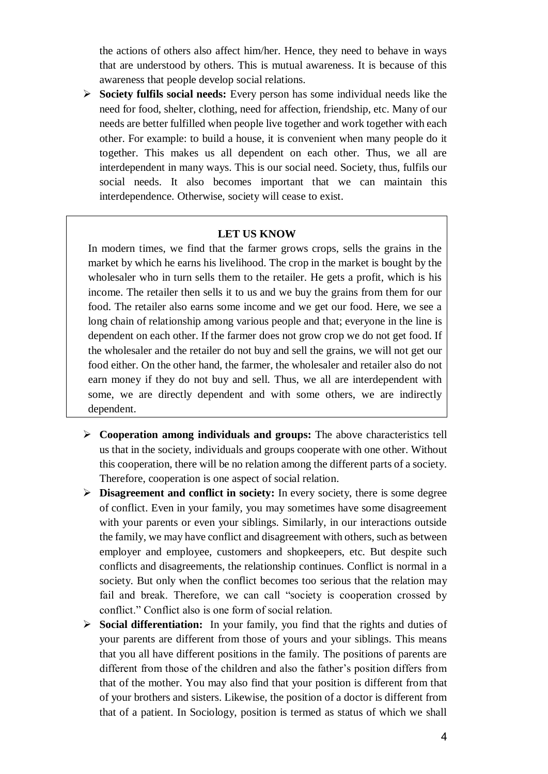the actions of others also affect him/her. Hence, they need to behave in ways that are understood by others. This is mutual awareness. It is because of this awareness that people develop social relations.

 **Society fulfils social needs:** Every person has some individual needs like the need for food, shelter, clothing, need for affection, friendship, etc. Many of our needs are better fulfilled when people live together and work together with each other. For example: to build a house, it is convenient when many people do it together. This makes us all dependent on each other. Thus, we all are interdependent in many ways. This is our social need. Society, thus, fulfils our social needs. It also becomes important that we can maintain this interdependence. Otherwise, society will cease to exist.

#### **LET US KNOW**

In modern times, we find that the farmer grows crops, sells the grains in the market by which he earns his livelihood. The crop in the market is bought by the wholesaler who in turn sells them to the retailer. He gets a profit, which is his income. The retailer then sells it to us and we buy the grains from them for our food. The retailer also earns some income and we get our food. Here, we see a long chain of relationship among various people and that; everyone in the line is dependent on each other. If the farmer does not grow crop we do not get food. If the wholesaler and the retailer do not buy and sell the grains, we will not get our food either. On the other hand, the farmer, the wholesaler and retailer also do not earn money if they do not buy and sell. Thus, we all are interdependent with some, we are directly dependent and with some others, we are indirectly dependent.

- **Cooperation among individuals and groups:** The above characteristics tell us that in the society, individuals and groups cooperate with one other. Without this cooperation, there will be no relation among the different parts of a society. Therefore, cooperation is one aspect of social relation.
- **Disagreement and conflict in society:** In every society, there is some degree of conflict. Even in your family, you may sometimes have some disagreement with your parents or even your siblings. Similarly, in our interactions outside the family, we may have conflict and disagreement with others, such as between employer and employee, customers and shopkeepers, etc. But despite such conflicts and disagreements, the relationship continues. Conflict is normal in a society. But only when the conflict becomes too serious that the relation may fail and break. Therefore, we can call "society is cooperation crossed by conflict." Conflict also is one form of social relation.
- **Social differentiation:** In your family, you find that the rights and duties of your parents are different from those of yours and your siblings. This means that you all have different positions in the family. The positions of parents are different from those of the children and also the father's position differs from that of the mother. You may also find that your position is different from that of your brothers and sisters. Likewise, the position of a doctor is different from that of a patient. In Sociology, position is termed as status of which we shall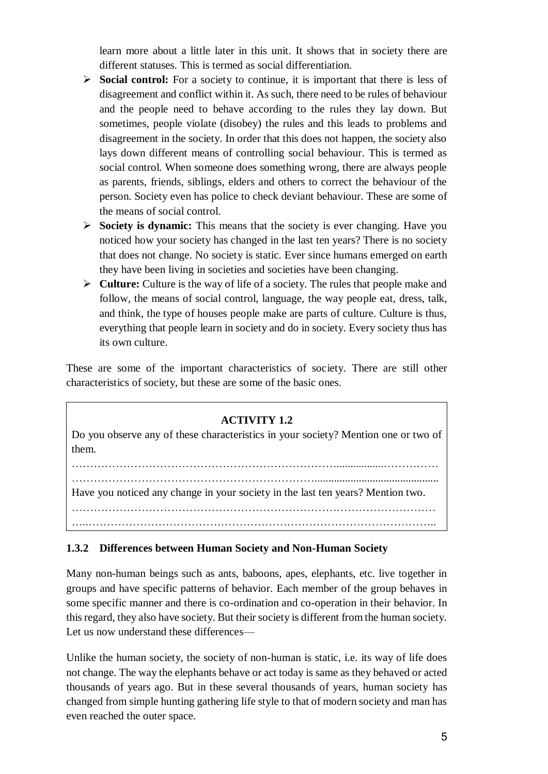learn more about a little later in this unit. It shows that in society there are different statuses. This is termed as social differentiation.

- Social control: For a society to continue, it is important that there is less of disagreement and conflict within it. As such, there need to be rules of behaviour and the people need to behave according to the rules they lay down. But sometimes, people violate (disobey) the rules and this leads to problems and disagreement in the society. In order that this does not happen, the society also lays down different means of controlling social behaviour. This is termed as social control. When someone does something wrong, there are always people as parents, friends, siblings, elders and others to correct the behaviour of the person. Society even has police to check deviant behaviour. These are some of the means of social control.
- **Society is dynamic:** This means that the society is ever changing. Have you noticed how your society has changed in the last ten years? There is no society that does not change. No society is static. Ever since humans emerged on earth they have been living in societies and societies have been changing.
- **Culture:** Culture is the way of life of a society. The rules that people make and follow, the means of social control, language, the way people eat, dress, talk, and think, the type of houses people make are parts of culture. Culture is thus, everything that people learn in society and do in society. Every society thus has its own culture.

These are some of the important characteristics of society. There are still other characteristics of society, but these are some of the basic ones.

#### **ACTIVITY 1.2**

Do you observe any of these characteristics in your society? Mention one or two of them.

……………………………………………………………….................…………… …………………………………………………………............................................. Have you noticed any change in your society in the last ten years? Mention two. ……………………………………………………………………………………… …..…………………………………………………………………………………..

#### **1.3.2 Differences between Human Society and Non-Human Society**

Many non-human beings such as ants, baboons, apes, elephants, etc. live together in groups and have specific patterns of behavior. Each member of the group behaves in some specific manner and there is co-ordination and co-operation in their behavior. In this regard, they also have society. But their society is different from the human society. Let us now understand these differences—

Unlike the human society, the society of non-human is static, i.e. its way of life does not change. The way the elephants behave or act today is same as they behaved or acted thousands of years ago. But in these several thousands of years, human society has changed from simple hunting gathering life style to that of modern society and man has even reached the outer space.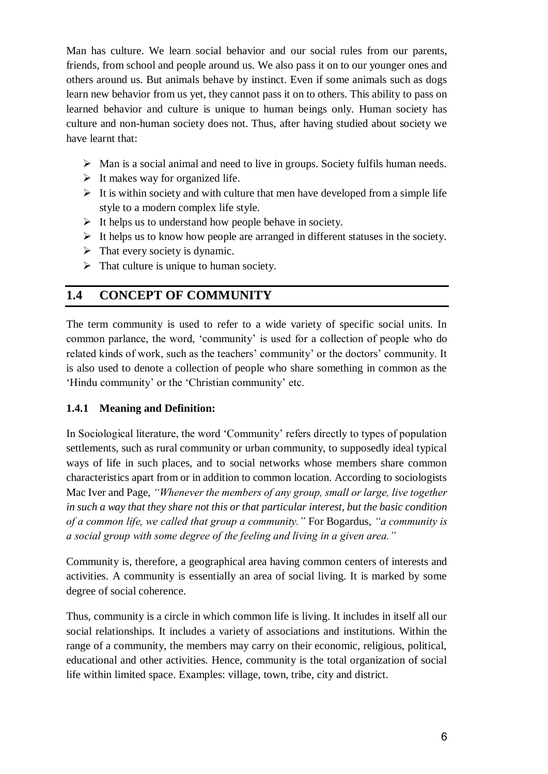Man has culture. We learn social behavior and our social rules from our parents, friends, from school and people around us. We also pass it on to our younger ones and others around us. But animals behave by instinct. Even if some animals such as dogs learn new behavior from us yet, they cannot pass it on to others. This ability to pass on learned behavior and culture is unique to human beings only. Human society has culture and non-human society does not. Thus, after having studied about society we have learnt that:

- $\triangleright$  Man is a social animal and need to live in groups. Society fulfils human needs.
- $\triangleright$  It makes way for organized life.
- $\triangleright$  It is within society and with culture that men have developed from a simple life style to a modern complex life style.
- $\triangleright$  It helps us to understand how people behave in society.
- $\triangleright$  It helps us to know how people are arranged in different statuses in the society.
- $\triangleright$  That every society is dynamic.
- $\triangleright$  That culture is unique to human society.

# **1.4 CONCEPT OF COMMUNITY**

The term community is used to refer to a wide variety of specific social units. In common parlance, the word, 'community' is used for a collection of people who do related kinds of work, such as the teachers' community' or the doctors' community. It is also used to denote a collection of people who share something in common as the 'Hindu community' or the 'Christian community' etc.

#### **1.4.1 Meaning and Definition:**

In Sociological literature, the word 'Community' refers directly to types of population settlements, such as rural community or urban community, to supposedly ideal typical ways of life in such places, and to social networks whose members share common characteristics apart from or in addition to common location. According to sociologists Mac Iver and Page, *"Whenever the members of any group, small or large, live together in such a way that they share not this or that particular interest, but the basic condition of a common life, we called that group a community."* For Bogardus, *"a community is a social group with some degree of the feeling and living in a given area."*

Community is, therefore, a geographical area having common centers of interests and activities. A community is essentially an area of social living. It is marked by some degree of social coherence.

Thus, community is a circle in which common life is living. It includes in itself all our social relationships. It includes a variety of associations and institutions. Within the range of a community, the members may carry on their economic, religious, political, educational and other activities. Hence, community is the total organization of social life within limited space. Examples: village, town, tribe, city and district.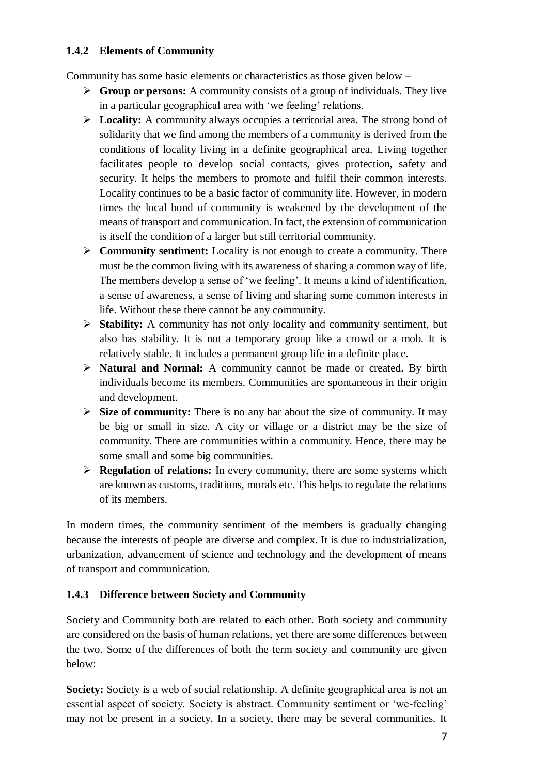## **1.4.2 Elements of Community**

Community has some basic elements or characteristics as those given below –

- **Group or persons:** A community consists of a group of individuals. They live in a particular geographical area with 'we feeling' relations.
- **Locality:** A community always occupies a territorial area. The strong bond of solidarity that we find among the members of a community is derived from the conditions of locality living in a definite geographical area. Living together facilitates people to develop social contacts, gives protection, safety and security. It helps the members to promote and fulfil their common interests. Locality continues to be a basic factor of community life. However, in modern times the local bond of community is weakened by the development of the means of transport and communication. In fact, the extension of communication is itself the condition of a larger but still territorial community.
- **Community sentiment:** Locality is not enough to create a community. There must be the common living with its awareness of sharing a common way of life. The members develop a sense of 'we feeling'. It means a kind of identification, a sense of awareness, a sense of living and sharing some common interests in life. Without these there cannot be any community.
- **Stability:** A community has not only locality and community sentiment, but also has stability. It is not a temporary group like a crowd or a mob. It is relatively stable. It includes a permanent group life in a definite place.
- **Natural and Normal:** A community cannot be made or created. By birth individuals become its members. Communities are spontaneous in their origin and development.
- $\triangleright$  **Size of community:** There is no any bar about the size of community. It may be big or small in size. A city or village or a district may be the size of community. There are communities within a community. Hence, there may be some small and some big communities.
- **Regulation of relations:** In every community, there are some systems which are known as customs, traditions, morals etc. This helps to regulate the relations of its members.

In modern times, the community sentiment of the members is gradually changing because the interests of people are diverse and complex. It is due to industrialization, urbanization, advancement of science and technology and the development of means of transport and communication.

## **1.4.3 Difference between Society and Community**

Society and Community both are related to each other. Both society and community are considered on the basis of human relations, yet there are some differences between the two. Some of the differences of both the term society and community are given below:

**Society:** Society is a web of social relationship. A definite geographical area is not an essential aspect of society. Society is abstract. Community sentiment or 'we-feeling' may not be present in a society. In a society, there may be several communities. It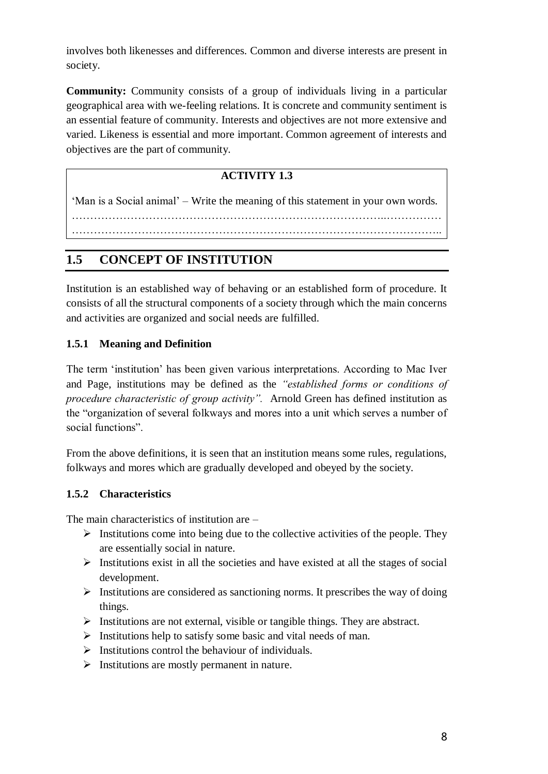involves both likenesses and differences. Common and diverse interests are present in society.

**Community:** Community consists of a group of individuals living in a particular geographical area with we-feeling relations. It is concrete and community sentiment is an essential feature of community. Interests and objectives are not more extensive and varied. Likeness is essential and more important. Common agreement of interests and objectives are the part of community.

# **ACTIVITY 1.3**

'Man is a Social animal' – Write the meaning of this statement in your own words. …………………………………………………………………………..…………… ………………………………………………………………………………………..

# **1.5 CONCEPT OF INSTITUTION**

Institution is an established way of behaving or an established form of procedure. It consists of all the structural components of a society through which the main concerns and activities are organized and social needs are fulfilled.

## **1.5.1 Meaning and Definition**

The term 'institution' has been given various interpretations. According to Mac Iver and Page, institutions may be defined as the *"established forms or conditions of procedure characteristic of group activity".* Arnold Green has defined institution as the "organization of several folkways and mores into a unit which serves a number of social functions".

From the above definitions, it is seen that an institution means some rules, regulations, folkways and mores which are gradually developed and obeyed by the society.

#### **1.5.2 Characteristics**

The main characteristics of institution are –

- $\triangleright$  Institutions come into being due to the collective activities of the people. They are essentially social in nature.
- $\triangleright$  Institutions exist in all the societies and have existed at all the stages of social development.
- $\triangleright$  Institutions are considered as sanctioning norms. It prescribes the way of doing things.
- $\triangleright$  Institutions are not external, visible or tangible things. They are abstract.
- $\triangleright$  Institutions help to satisfy some basic and vital needs of man.
- $\triangleright$  Institutions control the behaviour of individuals.
- $\triangleright$  Institutions are mostly permanent in nature.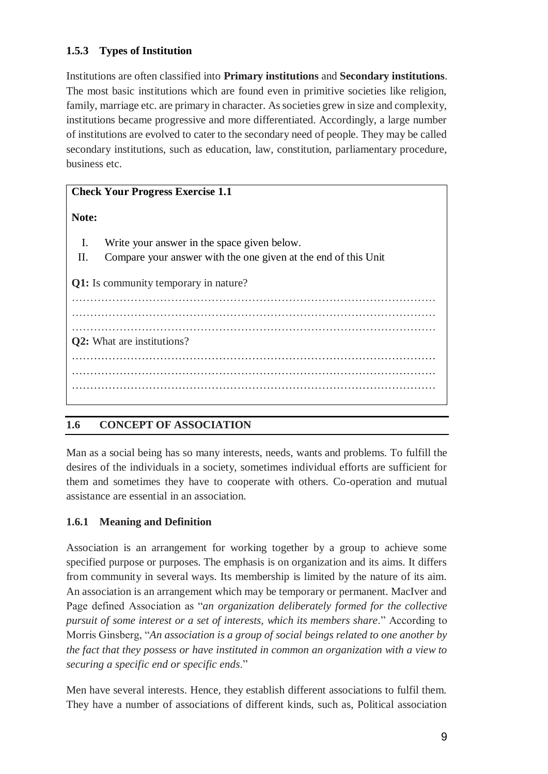## **1.5.3 Types of Institution**

Institutions are often classified into **Primary institutions** and **Secondary institutions**. The most basic institutions which are found even in primitive societies like religion, family, marriage etc. are primary in character. As societies grew in size and complexity, institutions became progressive and more differentiated. Accordingly, a large number of institutions are evolved to cater to the secondary need of people. They may be called secondary institutions, such as education, law, constitution, parliamentary procedure, business etc.

# **Check Your Progress Exercise 1.1 Note:**  I. Write your answer in the space given below. II. Compare your answer with the one given at the end of this Unit **Q1:** Is community temporary in nature? ……………………………………………………………………………………… ……………………………………………………………………………………… ……………………………………………………………………………………… **Q2:** What are institutions? ……………………………………………………………………………………… ……………………………………………………………………………………… ………………………………………………………………………………………

## **1.6 CONCEPT OF ASSOCIATION**

Man as a social being has so many interests, needs, wants and problems. To fulfill the desires of the individuals in a society, sometimes individual efforts are sufficient for them and sometimes they have to cooperate with others. Co-operation and mutual assistance are essential in an association.

## **1.6.1 Meaning and Definition**

Association is an arrangement for working together by a group to achieve some specified purpose or purposes. The emphasis is on organization and its aims. It differs from community in several ways. Its membership is limited by the nature of its aim. An association is an arrangement which may be temporary or permanent. MacIver and Page defined Association as "*an organization deliberately formed for the collective pursuit of some interest or a set of interests, which its members share*." According to Morris Ginsberg, "*An association is a group of social beings related to one another by the fact that they possess or have instituted in common an organization with a view to securing a specific end or specific ends*."

Men have several interests. Hence, they establish different associations to fulfil them. They have a number of associations of different kinds, such as, Political association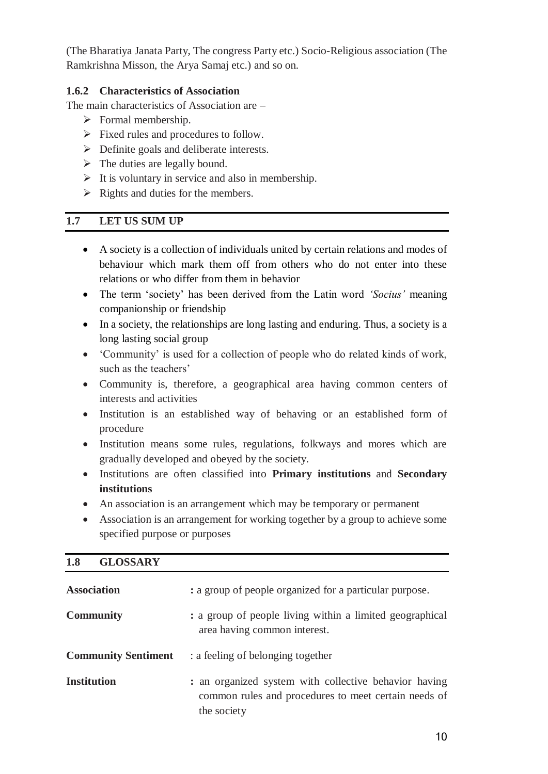(The Bharatiya Janata Party, The congress Party etc.) Socio-Religious association (The Ramkrishna Misson, the Arya Samaj etc.) and so on.

## **1.6.2 Characteristics of Association**

The main characteristics of Association are –

- $\triangleright$  Formal membership.
- $\triangleright$  Fixed rules and procedures to follow.
- $\triangleright$  Definite goals and deliberate interests.
- $\triangleright$  The duties are legally bound.
- $\triangleright$  It is voluntary in service and also in membership.
- $\triangleright$  Rights and duties for the members.

## **1.7 LET US SUM UP**

- A society is a collection of individuals united by certain relations and modes of behaviour which mark them off from others who do not enter into these relations or who differ from them in behavior
- The term 'society' has been derived from the Latin word *'Socius'* meaning companionship or friendship
- In a society, the relationships are long lasting and enduring. Thus, a society is a long lasting social group
- 'Community' is used for a collection of people who do related kinds of work, such as the teachers'
- Community is, therefore, a geographical area having common centers of interests and activities
- Institution is an established way of behaving or an established form of procedure
- Institution means some rules, regulations, folkways and mores which are gradually developed and obeyed by the society.
- Institutions are often classified into **Primary institutions** and **Secondary institutions**
- An association is an arrangement which may be temporary or permanent
- Association is an arrangement for working together by a group to achieve some specified purpose or purposes

| ≖∙<br><b>ULIVIULIAL</b>    |                                                                                                                              |
|----------------------------|------------------------------------------------------------------------------------------------------------------------------|
| <b>Association</b>         | : a group of people organized for a particular purpose.                                                                      |
| <b>Community</b>           | : a group of people living within a limited geographical<br>area having common interest.                                     |
| <b>Community Sentiment</b> | : a feeling of belonging together                                                                                            |
| <b>Institution</b>         | : an organized system with collective behavior having<br>common rules and procedures to meet certain needs of<br>the society |

#### **1.8 GLOSSARY**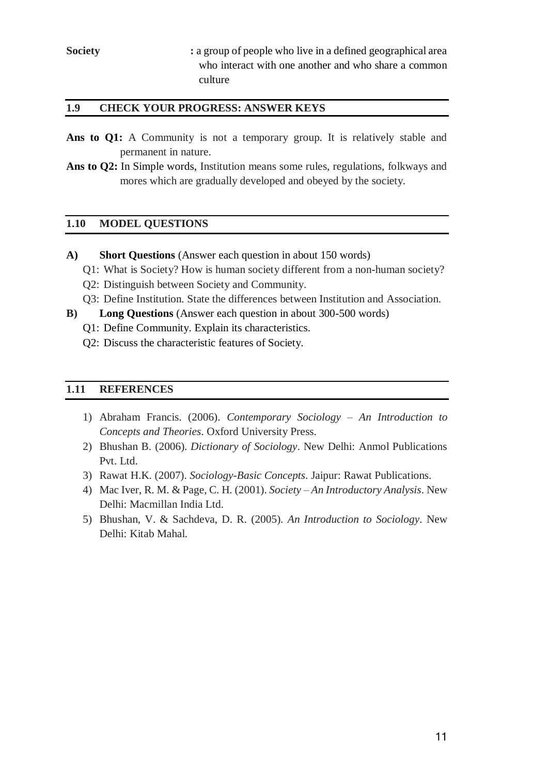#### **1.9 CHECK YOUR PROGRESS: ANSWER KEYS**

- Ans to Q1: A Community is not a temporary group. It is relatively stable and permanent in nature.
- **Ans to Q2:** In Simple words, Institution means some rules, regulations, folkways and mores which are gradually developed and obeyed by the society.

#### **1.10 MODEL QUESTIONS**

- **A) Short Questions** (Answer each question in about 150 words)
	- Q1: What is Society? How is human society different from a non-human society?
	- Q2: Distinguish between Society and Community.
	- Q3: Define Institution. State the differences between Institution and Association.
- **B) Long Questions** (Answer each question in about 300-500 words)
	- Q1: Define Community. Explain its characteristics.
	- Q2: Discuss the characteristic features of Society.

#### **1.11 REFERENCES**

- 1) Abraham Francis. (2006). *Contemporary Sociology – An Introduction to Concepts and Theories*. Oxford University Press.
- 2) Bhushan B. (2006). *Dictionary of Sociology*. New Delhi: Anmol Publications Pvt. Ltd.
- 3) Rawat H.K. (2007). *Sociology-Basic Concepts*. Jaipur: Rawat Publications.
- 4) Mac Iver, R. M. & Page, C. H. (2001). *Society – An Introductory Analysis*. New Delhi: Macmillan India Ltd.
- 5) Bhushan, V. & Sachdeva, D. R. (2005). *An Introduction to Sociology*. New Delhi: Kitab Mahal.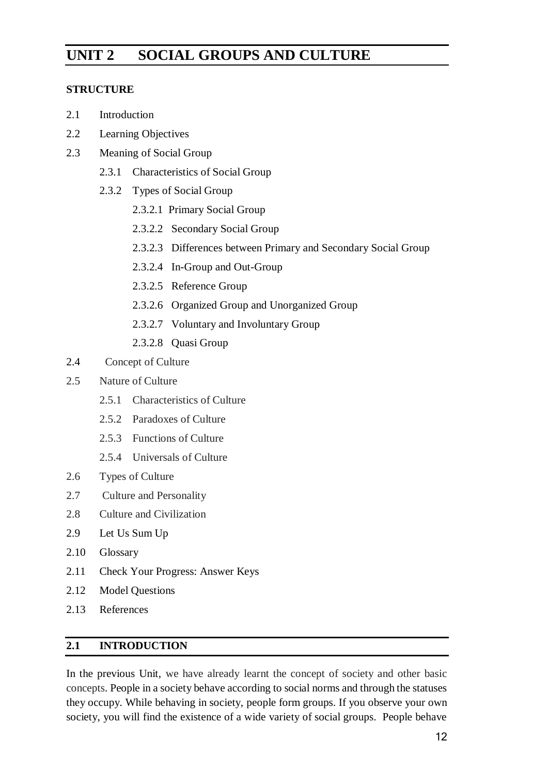# **UNIT 2 SOCIAL GROUPS AND CULTURE**

## **STRUCTURE**

- 2.1 Introduction
- 2.2 Learning Objectives
- 2.3 Meaning of Social Group
	- 2.3.1 Characteristics of Social Group
	- 2.3.2 Types of Social Group
		- 2.3.2.1 Primary Social Group
		- 2.3.2.2 Secondary Social Group
		- 2.3.2.3 Differences between Primary and Secondary Social Group
		- 2.3.2.4 In-Group and Out-Group
		- 2.3.2.5 Reference Group
		- 2.3.2.6 Organized Group and Unorganized Group
		- 2.3.2.7 Voluntary and Involuntary Group
		- 2.3.2.8 Quasi Group
- 2.4 Concept of Culture
- 2.5 Nature of Culture
	- 2.5.1 Characteristics of Culture
	- 2.5.2 Paradoxes of Culture
	- 2.5.3 Functions of Culture
	- 2.5.4 Universals of Culture
- 2.6 Types of Culture
- 2.7 Culture and Personality
- 2.8 Culture and Civilization
- 2.9 Let Us Sum Up
- 2.10 Glossary
- 2.11 Check Your Progress: Answer Keys
- 2.12 Model Questions
- 2.13 References

## **2.1 INTRODUCTION**

In the previous Unit, we have already learnt the concept of society and other basic concepts. People in a society behave according to social norms and through the statuses they occupy. While behaving in society, people form groups. If you observe your own society, you will find the existence of a wide variety of social groups. People behave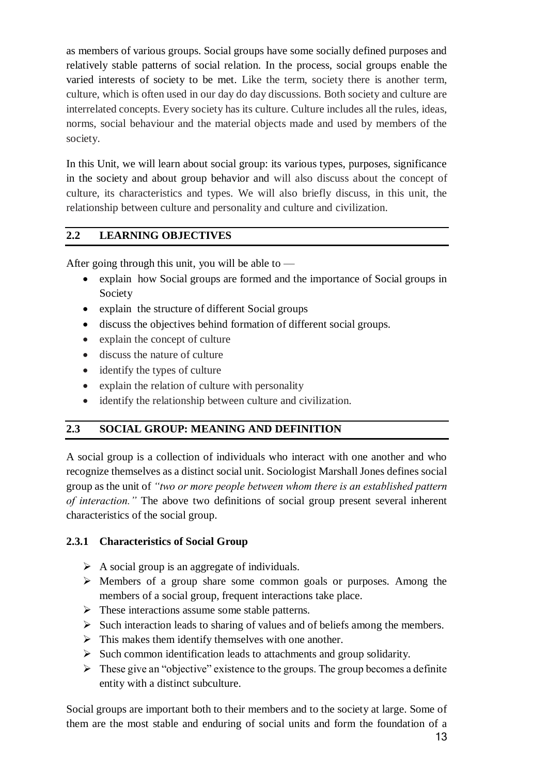as members of various groups. Social groups have some socially defined purposes and relatively stable patterns of social relation. In the process, social groups enable the varied interests of society to be met. Like the term, society there is another term, culture, which is often used in our day do day discussions. Both society and culture are interrelated concepts. Every society has its culture. Culture includes all the rules, ideas, norms, social behaviour and the material objects made and used by members of the society.

In this Unit, we will learn about social group: its various types, purposes, significance in the society and about group behavior and will also discuss about the concept of culture, its characteristics and types. We will also briefly discuss, in this unit, the relationship between culture and personality and culture and civilization.

#### **2.2 LEARNING OBJECTIVES**

After going through this unit, you will be able to —

- explain how Social groups are formed and the importance of Social groups in Society
- explain the structure of different Social groups
- discuss the objectives behind formation of different social groups.
- explain the concept of culture
- discuss the nature of culture
- identify the types of culture
- explain the relation of culture with personality
- identify the relationship between culture and civilization.

#### **2.3 SOCIAL GROUP: MEANING AND DEFINITION**

A social group is a collection of individuals who interact with one another and who recognize themselves as a distinct social unit. Sociologist Marshall Jones defines social group as the unit of *"two or more people between whom there is an established pattern of interaction."* The above two definitions of social group present several inherent characteristics of the social group.

#### **2.3.1 Characteristics of Social Group**

- $\triangleright$  A social group is an aggregate of individuals.
- Members of a group share some common goals or purposes. Among the members of a social group, frequent interactions take place.
- $\triangleright$  These interactions assume some stable patterns.
- $\triangleright$  Such interaction leads to sharing of values and of beliefs among the members.
- $\triangleright$  This makes them identify themselves with one another.
- $\triangleright$  Such common identification leads to attachments and group solidarity.
- $\triangleright$  These give an "objective" existence to the groups. The group becomes a definite entity with a distinct subculture.

Social groups are important both to their members and to the society at large. Some of them are the most stable and enduring of social units and form the foundation of a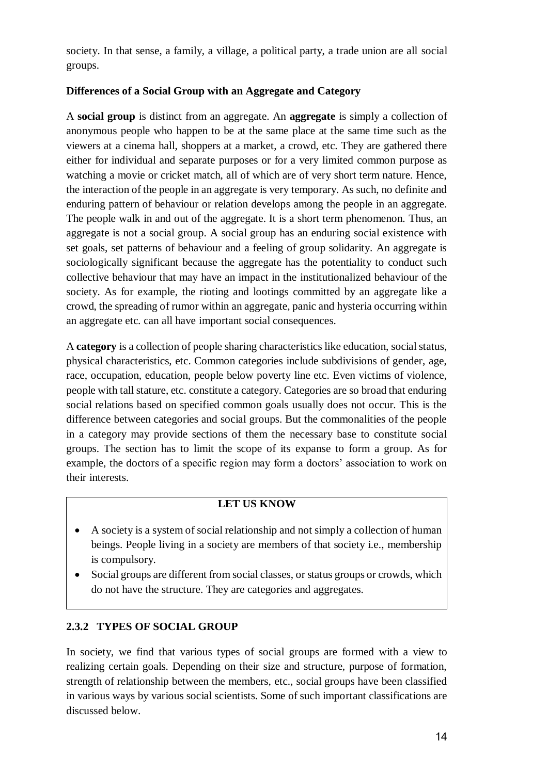society. In that sense, a family, a village, a political party, a trade union are all social groups.

## **Differences of a Social Group with an Aggregate and Category**

A **social group** is distinct from an aggregate. An **aggregate** is simply a collection of anonymous people who happen to be at the same place at the same time such as the viewers at a cinema hall, shoppers at a market, a crowd, etc. They are gathered there either for individual and separate purposes or for a very limited common purpose as watching a movie or cricket match, all of which are of very short term nature. Hence, the interaction of the people in an aggregate is very temporary. As such, no definite and enduring pattern of behaviour or relation develops among the people in an aggregate. The people walk in and out of the aggregate. It is a short term phenomenon. Thus, an aggregate is not a social group. A social group has an enduring social existence with set goals, set patterns of behaviour and a feeling of group solidarity. An aggregate is sociologically significant because the aggregate has the potentiality to conduct such collective behaviour that may have an impact in the institutionalized behaviour of the society. As for example, the rioting and lootings committed by an aggregate like a crowd, the spreading of rumor within an aggregate, panic and hysteria occurring within an aggregate etc. can all have important social consequences.

A **category** is a collection of people sharing characteristics like education, social status, physical characteristics, etc. Common categories include subdivisions of gender, age, race, occupation, education, people below poverty line etc. Even victims of violence, people with tall stature, etc. constitute a category. Categories are so broad that enduring social relations based on specified common goals usually does not occur. This is the difference between categories and social groups. But the commonalities of the people in a category may provide sections of them the necessary base to constitute social groups. The section has to limit the scope of its expanse to form a group. As for example, the doctors of a specific region may form a doctors' association to work on their interests.

## **LET US KNOW**

- A society is a system of social relationship and not simply a collection of human beings. People living in a society are members of that society i.e., membership is compulsory.
- Social groups are different from social classes, or status groups or crowds, which do not have the structure. They are categories and aggregates.

# **2.3.2 TYPES OF SOCIAL GROUP**

In society, we find that various types of social groups are formed with a view to realizing certain goals. Depending on their size and structure, purpose of formation, strength of relationship between the members, etc., social groups have been classified in various ways by various social scientists. Some of such important classifications are discussed below.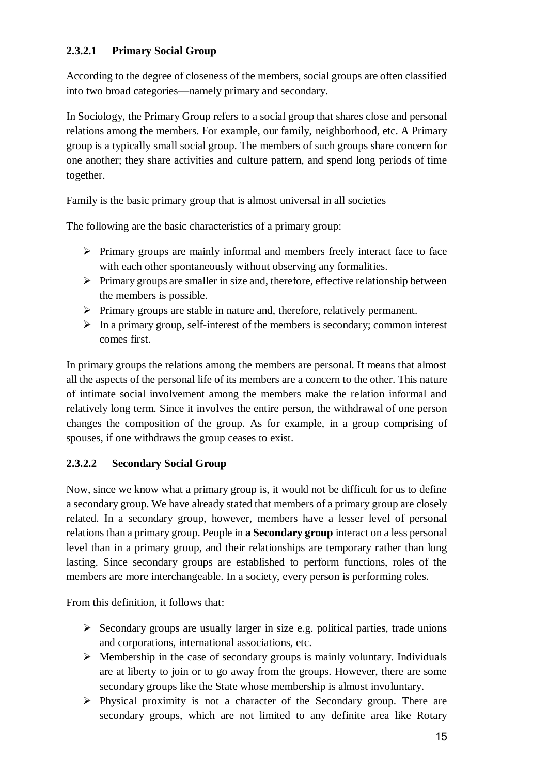## **2.3.2.1 Primary Social Group**

According to the degree of closeness of the members, social groups are often classified into two broad categories—namely primary and secondary.

In Sociology, the Primary Group refers to a social group that shares close and personal relations among the members. For example, our family, neighborhood, etc. A Primary group is a typically small social group. The members of such groups share concern for one another; they share activities and culture pattern, and spend long periods of time together.

Family is the basic primary group that is almost universal in all societies

The following are the basic characteristics of a primary group:

- $\triangleright$  Primary groups are mainly informal and members freely interact face to face with each other spontaneously without observing any formalities.
- $\triangleright$  Primary groups are smaller in size and, therefore, effective relationship between the members is possible.
- $\triangleright$  Primary groups are stable in nature and, therefore, relatively permanent.
- $\triangleright$  In a primary group, self-interest of the members is secondary; common interest comes first.

In primary groups the relations among the members are personal. It means that almost all the aspects of the personal life of its members are a concern to the other. This nature of intimate social involvement among the members make the relation informal and relatively long term. Since it involves the entire person, the withdrawal of one person changes the composition of the group. As for example, in a group comprising of spouses, if one withdraws the group ceases to exist.

## **2.3.2.2 Secondary Social Group**

Now, since we know what a primary group is, it would not be difficult for us to define a secondary group. We have already stated that members of a primary group are closely related. In a secondary group, however, members have a lesser level of personal relations than a primary group. People in **a Secondary group** interact on a less personal level than in a primary group, and their relationships are temporary rather than long lasting. Since secondary groups are established to perform functions, roles of the members are more interchangeable. In a society, every person is performing roles.

From this definition, it follows that:

- $\triangleright$  Secondary groups are usually larger in size e.g. political parties, trade unions and corporations, international associations, etc.
- $\triangleright$  Membership in the case of secondary groups is mainly voluntary. Individuals are at liberty to join or to go away from the groups. However, there are some secondary groups like the State whose membership is almost involuntary.
- $\triangleright$  Physical proximity is not a character of the Secondary group. There are secondary groups, which are not limited to any definite area like Rotary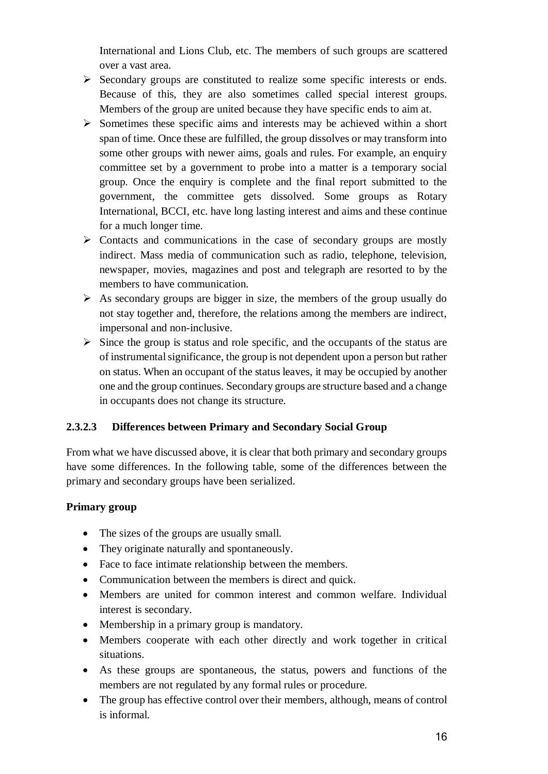International and Lions Club, etc. The members of such groups are scattered over a vast area.

- $\triangleright$  Secondary groups are constituted to realize some specific interests or ends. Because of this, they are also sometimes called special interest groups. Members of the group are united because they have specific ends to aim at.
- $\triangleright$  Sometimes these specific aims and interests may be achieved within a short span of time. Once these are fulfilled, the group dissolves or may transform into some other groups with newer aims, goals and rules. For example, an enquiry committee set by a government to probe into a matter is a temporary social group. Once the enquiry is complete and the final report submitted to the government, the committee gets dissolved. Some groups as Rotary International, BCCI, etc. have long lasting interest and aims and these continue for a much longer time.
- $\triangleright$  Contacts and communications in the case of secondary groups are mostly indirect. Mass media of communication such as radio, telephone, television, newspaper, movies, magazines and post and telegraph are resorted to by the members to have communication.
- $\triangleright$  As secondary groups are bigger in size, the members of the group usually do not stay together and, therefore, the relations among the members are indirect, impersonal and non-inclusive.
- $\triangleright$  Since the group is status and role specific, and the occupants of the status are of instrumental significance, the group is not dependent upon a person but rather on status. When an occupant of the status leaves, it may be occupied by another one and the group continues. Secondary groups are structure based and a change in occupants does not change its structure.

## **2.3.2.3 Differences between Primary and Secondary Social Group**

From what we have discussed above, it is clear that both primary and secondary groups have some differences. In the following table, some of the differences between the primary and secondary groups have been serialized.

#### **Primary group**

- The sizes of the groups are usually small.
- They originate naturally and spontaneously.
- Face to face intimate relationship between the members.
- Communication between the members is direct and quick.
- Members are united for common interest and common welfare. Individual interest is secondary.
- Membership in a primary group is mandatory.
- Members cooperate with each other directly and work together in critical situations.
- As these groups are spontaneous, the status, powers and functions of the members are not regulated by any formal rules or procedure.
- The group has effective control over their members, although, means of control is informal.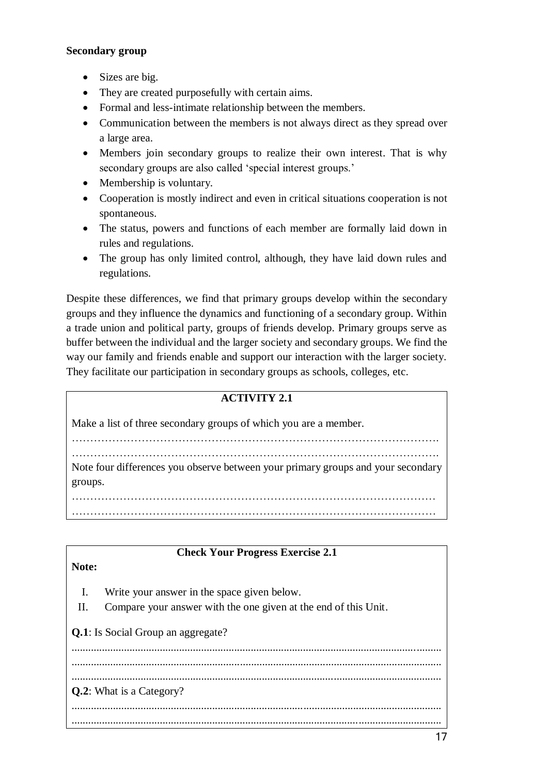#### **Secondary group**

- Sizes are big.
- They are created purposefully with certain aims.
- Formal and less-intimate relationship between the members.
- Communication between the members is not always direct as they spread over a large area.
- Members join secondary groups to realize their own interest. That is why secondary groups are also called 'special interest groups.'
- Membership is voluntary.
- Cooperation is mostly indirect and even in critical situations cooperation is not spontaneous.
- The status, powers and functions of each member are formally laid down in rules and regulations.
- The group has only limited control, although, they have laid down rules and regulations.

Despite these differences, we find that primary groups develop within the secondary groups and they influence the dynamics and functioning of a secondary group. Within a trade union and political party, groups of friends develop. Primary groups serve as buffer between the individual and the larger society and secondary groups. We find the way our family and friends enable and support our interaction with the larger society. They facilitate our participation in secondary groups as schools, colleges, etc.

| <b>ACTIVITY 2.1</b>                                                                         |
|---------------------------------------------------------------------------------------------|
| Make a list of three secondary groups of which you are a member.                            |
| Note four differences you observe between your primary groups and your secondary<br>groups. |
|                                                                                             |
|                                                                                             |

|  | <b>Check Your Progress Exercise 2.1</b> |  |
|--|-----------------------------------------|--|
|  |                                         |  |

#### **Note:**

- I. Write your answer in the space given below.
- II. Compare your answer with the one given at the end of this Unit.

**Q.1**: Is Social Group an aggregate?

...................................................................................................................................... ...................................................................................................................................... ...................................................................................................................................... **Q.2**: What is a Category? ...................................................................................................................................... ......................................................................................................................................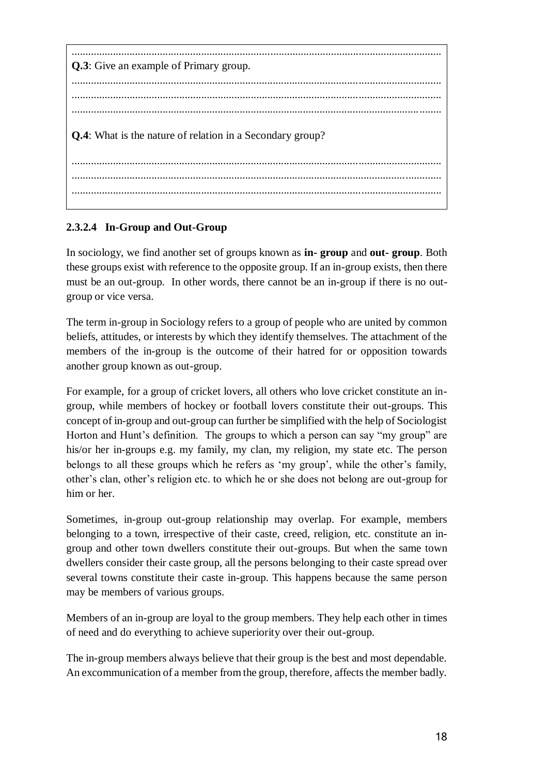| <b>Q.3</b> : Give an example of Primary group.                    |
|-------------------------------------------------------------------|
|                                                                   |
| <b>Q.4</b> : What is the nature of relation in a Secondary group? |
|                                                                   |
|                                                                   |

# **2.3.2.4 In-Group and Out-Group**

In sociology, we find another set of groups known as **in- group** and **out- group**. Both these groups exist with reference to the opposite group. If an in-group exists, then there must be an out-group. In other words, there cannot be an in-group if there is no outgroup or vice versa.

The term in-group in Sociology refers to a group of people who are united by common beliefs, attitudes, or interests by which they identify themselves. The attachment of the members of the in-group is the outcome of their hatred for or opposition towards another group known as out-group.

For example, for a group of cricket lovers, all others who love cricket constitute an ingroup, while members of hockey or football lovers constitute their out-groups. This concept of in-group and out-group can further be simplified with the help of Sociologist Horton and Hunt's definition. The groups to which a person can say "my group" are his/or her in-groups e.g. my family, my clan, my religion, my state etc. The person belongs to all these groups which he refers as 'my group', while the other's family, other's clan, other's religion etc. to which he or she does not belong are out-group for him or her

Sometimes, in-group out-group relationship may overlap. For example, members belonging to a town, irrespective of their caste, creed, religion, etc. constitute an ingroup and other town dwellers constitute their out-groups. But when the same town dwellers consider their caste group, all the persons belonging to their caste spread over several towns constitute their caste in-group. This happens because the same person may be members of various groups.

Members of an in-group are loyal to the group members. They help each other in times of need and do everything to achieve superiority over their out-group.

The in-group members always believe that their group is the best and most dependable. An excommunication of a member from the group, therefore, affects the member badly.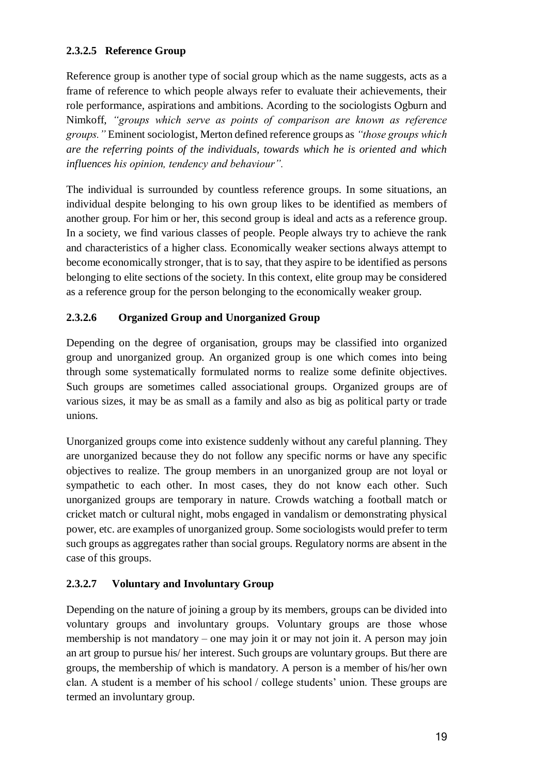## **2.3.2.5 Reference Group**

Reference group is another type of social group which as the name suggests, acts as a frame of reference to which people always refer to evaluate their achievements, their role performance, aspirations and ambitions. Acording to the sociologists Ogburn and Nimkoff, *"groups which serve as points of comparison are known as reference groups."* Eminent sociologist, Merton defined reference groups as *"those groups which are the referring points of the individuals, towards which he is oriented and which influences his opinion, tendency and behaviour".*

The individual is surrounded by countless reference groups. In some situations, an individual despite belonging to his own group likes to be identified as members of another group. For him or her, this second group is ideal and acts as a reference group. In a society, we find various classes of people. People always try to achieve the rank and characteristics of a higher class. Economically weaker sections always attempt to become economically stronger, that is to say, that they aspire to be identified as persons belonging to elite sections of the society. In this context, elite group may be considered as a reference group for the person belonging to the economically weaker group.

## **2.3.2.6 Organized Group and Unorganized Group**

Depending on the degree of organisation, groups may be classified into organized group and unorganized group. An organized group is one which comes into being through some systematically formulated norms to realize some definite objectives. Such groups are sometimes called associational groups. Organized groups are of various sizes, it may be as small as a family and also as big as political party or trade unions.

Unorganized groups come into existence suddenly without any careful planning. They are unorganized because they do not follow any specific norms or have any specific objectives to realize. The group members in an unorganized group are not loyal or sympathetic to each other. In most cases, they do not know each other. Such unorganized groups are temporary in nature. Crowds watching a football match or cricket match or cultural night, mobs engaged in vandalism or demonstrating physical power, etc. are examples of unorganized group. Some sociologists would prefer to term such groups as aggregates rather than social groups. Regulatory norms are absent in the case of this groups.

#### **2.3.2.7 Voluntary and Involuntary Group**

Depending on the nature of joining a group by its members, groups can be divided into voluntary groups and involuntary groups. Voluntary groups are those whose membership is not mandatory – one may join it or may not join it. A person may join an art group to pursue his/ her interest. Such groups are voluntary groups. But there are groups, the membership of which is mandatory. A person is a member of his/her own clan. A student is a member of his school / college students' union. These groups are termed an involuntary group.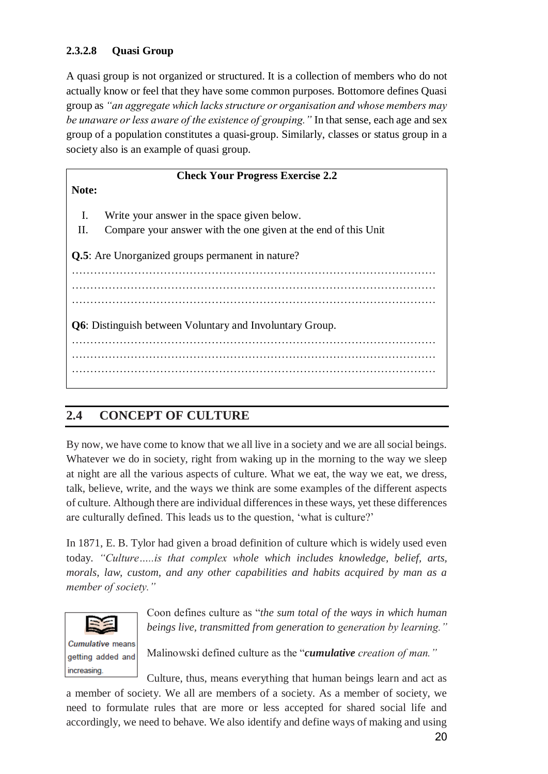## **2.3.2.8 Quasi Group**

A quasi group is not organized or structured. It is a collection of members who do not actually know or feel that they have some common purposes. Bottomore defines Quasi group as *"an aggregate which lacks structure or organisation and whose members may be unaware or less aware of the existence of grouping."* In that sense, each age and sex group of a population constitutes a quasi-group. Similarly, classes or status group in a society also is an example of quasi group.

| <b>Check Your Progress Exercise 2.2</b>                          |                                                                |  |
|------------------------------------------------------------------|----------------------------------------------------------------|--|
| Note:                                                            |                                                                |  |
| $\mathbf{I}$ .                                                   | Write your answer in the space given below.                    |  |
| П.                                                               | Compare your answer with the one given at the end of this Unit |  |
| Q.5: Are Unorganized groups permanent in nature?                 |                                                                |  |
|                                                                  |                                                                |  |
|                                                                  |                                                                |  |
| <b>Q6</b> : Distinguish between Voluntary and Involuntary Group. |                                                                |  |
|                                                                  |                                                                |  |
|                                                                  |                                                                |  |

# **2.4 CONCEPT OF CULTURE**

By now, we have come to know that we all live in a society and we are all social beings. Whatever we do in society, right from waking up in the morning to the way we sleep at night are all the various aspects of culture. What we eat, the way we eat, we dress, talk, believe, write, and the ways we think are some examples of the different aspects of culture. Although there are individual differences in these ways, yet these differences are culturally defined. This leads us to the question, 'what is culture?'

In 1871, E. B. Tylor had given a broad definition of culture which is widely used even today. *"Culture…..is that complex whole which includes knowledge, belief, arts, morals, law, custom, and any other capabilities and habits acquired by man as a member of society."*



Coon defines culture as "*the sum total of the ways in which human beings live, transmitted from generation to generation by learning."*

Malinowski defined culture as the "*cumulative creation of man."*

increasing. Culture, thus, means everything that human beings learn and act as a member of society. We all are members of a society. As a member of society, we need to formulate rules that are more or less accepted for shared social life and accordingly, we need to behave. We also identify and define ways of making and using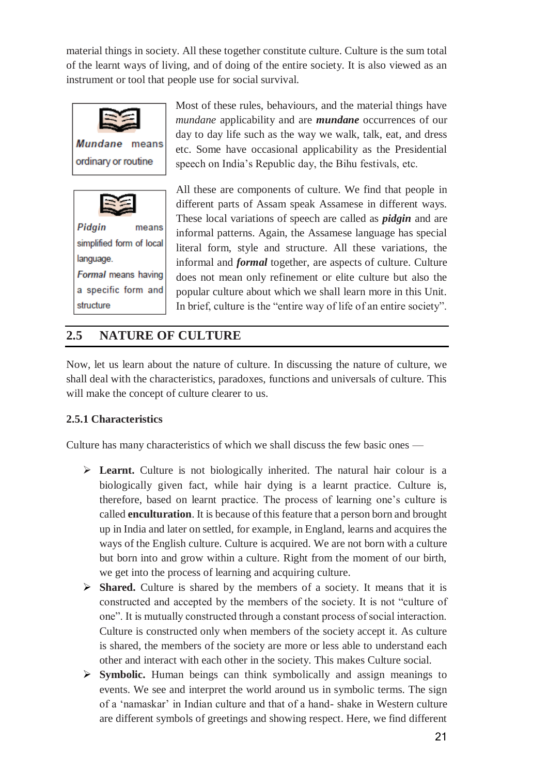material things in society. All these together constitute culture. Culture is the sum total of the learnt ways of living, and of doing of the entire society. It is also viewed as an instrument or tool that people use for social survival.





a specific form and structure

Most of these rules, behaviours, and the material things have *mundane* applicability and are *mundane* occurrences of our day to day life such as the way we walk, talk, eat, and dress etc. Some have occasional applicability as the Presidential speech on India's Republic day, the Bihu festivals, etc.

All these are components of culture. We find that people in different parts of Assam speak Assamese in different ways. These local variations of speech are called as *pidgin* and are informal patterns. Again, the Assamese language has special literal form, style and structure. All these variations, the informal and *formal* together, are aspects of culture. Culture does not mean only refinement or elite culture but also the popular culture about which we shall learn more in this Unit. In brief, culture is the "entire way of life of an entire society".

# **2.5 NATURE OF CULTURE**

Now, let us learn about the nature of culture. In discussing the nature of culture, we shall deal with the characteristics, paradoxes, functions and universals of culture. This will make the concept of culture clearer to us.

## **2.5.1 Characteristics**

Culture has many characteristics of which we shall discuss the few basic ones —

- Example 2.1 Learnt. Culture is not biologically inherited. The natural hair colour is a biologically given fact, while hair dying is a learnt practice. Culture is, therefore, based on learnt practice. The process of learning one's culture is called **enculturation**. It is because of this feature that a person born and brought up in India and later on settled, for example, in England, learns and acquires the ways of the English culture. Culture is acquired. We are not born with a culture but born into and grow within a culture. Right from the moment of our birth, we get into the process of learning and acquiring culture.
- **Shared.** Culture is shared by the members of a society. It means that it is constructed and accepted by the members of the society. It is not "culture of one". It is mutually constructed through a constant process of social interaction. Culture is constructed only when members of the society accept it. As culture is shared, the members of the society are more or less able to understand each other and interact with each other in the society. This makes Culture social.
- **Symbolic.** Human beings can think symbolically and assign meanings to events. We see and interpret the world around us in symbolic terms. The sign of a 'namaskar' in Indian culture and that of a hand- shake in Western culture are different symbols of greetings and showing respect. Here, we find different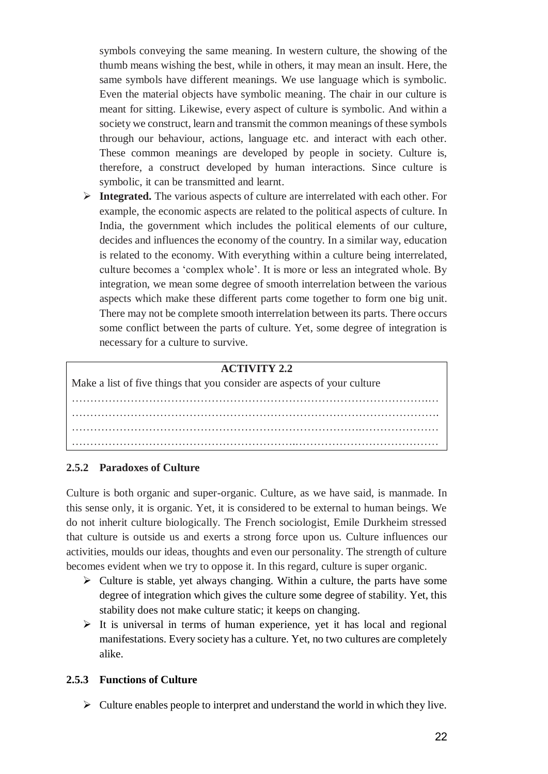symbols conveying the same meaning. In western culture, the showing of the thumb means wishing the best, while in others, it may mean an insult. Here, the same symbols have different meanings. We use language which is symbolic. Even the material objects have symbolic meaning. The chair in our culture is meant for sitting. Likewise, every aspect of culture is symbolic. And within a society we construct, learn and transmit the common meanings of these symbols through our behaviour, actions, language etc. and interact with each other. These common meanings are developed by people in society. Culture is, therefore, a construct developed by human interactions. Since culture is symbolic, it can be transmitted and learnt.

 **Integrated.** The various aspects of culture are interrelated with each other. For example, the economic aspects are related to the political aspects of culture. In India, the government which includes the political elements of our culture, decides and influences the economy of the country. In a similar way, education is related to the economy. With everything within a culture being interrelated, culture becomes a 'complex whole'. It is more or less an integrated whole. By integration, we mean some degree of smooth interrelation between the various aspects which make these different parts come together to form one big unit. There may not be complete smooth interrelation between its parts. There occurs some conflict between the parts of culture. Yet, some degree of integration is necessary for a culture to survive.

#### **ACTIVITY 2.2**

Make a list of five things that you consider are aspects of your culture …………………………………………………………………………………….… ………………………………………………………………………………………. …………………………………………………………………….………………… …………………………………………………….…………………………………

#### **2.5.2 Paradoxes of Culture**

Culture is both organic and super-organic. Culture, as we have said, is manmade. In this sense only, it is organic. Yet, it is considered to be external to human beings. We do not inherit culture biologically. The French sociologist, Emile Durkheim stressed that culture is outside us and exerts a strong force upon us. Culture influences our activities, moulds our ideas, thoughts and even our personality. The strength of culture becomes evident when we try to oppose it. In this regard, culture is super organic.

- $\triangleright$  Culture is stable, yet always changing. Within a culture, the parts have some degree of integration which gives the culture some degree of stability. Yet, this stability does not make culture static; it keeps on changing.
- $\triangleright$  It is universal in terms of human experience, yet it has local and regional manifestations. Every society has a culture. Yet, no two cultures are completely alike.

#### **2.5.3 Functions of Culture**

 $\triangleright$  Culture enables people to interpret and understand the world in which they live.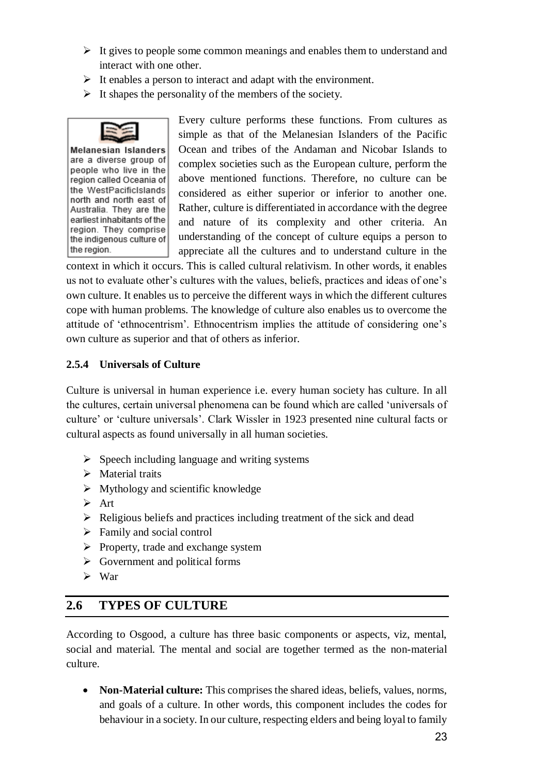- $\triangleright$  It gives to people some common meanings and enables them to understand and interact with one other.
- $\triangleright$  It enables a person to interact and adapt with the environment.
- $\triangleright$  It shapes the personality of the members of the society.



**Melanesian Islanders** are a diverse group of people who live in the region called Oceania of the WestPacificIslands north and north east of Australia. They are the earliest inhabitants of the region. They comprise the indigenous culture of the region.

Every culture performs these functions. From cultures as simple as that of the Melanesian Islanders of the Pacific Ocean and tribes of the Andaman and Nicobar Islands to complex societies such as the European culture, perform the above mentioned functions. Therefore, no culture can be considered as either superior or inferior to another one. Rather, culture is differentiated in accordance with the degree and nature of its complexity and other criteria. An understanding of the concept of culture equips a person to appreciate all the cultures and to understand culture in the

context in which it occurs. This is called cultural relativism. In other words, it enables us not to evaluate other's cultures with the values, beliefs, practices and ideas of one's own culture. It enables us to perceive the different ways in which the different cultures cope with human problems. The knowledge of culture also enables us to overcome the attitude of 'ethnocentrism'. Ethnocentrism implies the attitude of considering one's own culture as superior and that of others as inferior.

## **2.5.4 Universals of Culture**

Culture is universal in human experience i.e. every human society has culture. In all the cultures, certain universal phenomena can be found which are called 'universals of culture' or 'culture universals'. Clark Wissler in 1923 presented nine cultural facts or cultural aspects as found universally in all human societies.

- $\triangleright$  Speech including language and writing systems
- $\triangleright$  Material traits
- $\triangleright$  Mythology and scientific knowledge
- $\triangleright$  Art
- $\triangleright$  Religious beliefs and practices including treatment of the sick and dead
- $\triangleright$  Family and social control
- $\triangleright$  Property, trade and exchange system
- $\triangleright$  Government and political forms
- $\triangleright$  War

# **2.6 TYPES OF CULTURE**

According to Osgood, a culture has three basic components or aspects, viz, mental, social and material. The mental and social are together termed as the non-material culture.

 **Non-Material culture:** This comprises the shared ideas, beliefs, values, norms, and goals of a culture. In other words, this component includes the codes for behaviour in a society. In our culture, respecting elders and being loyal to family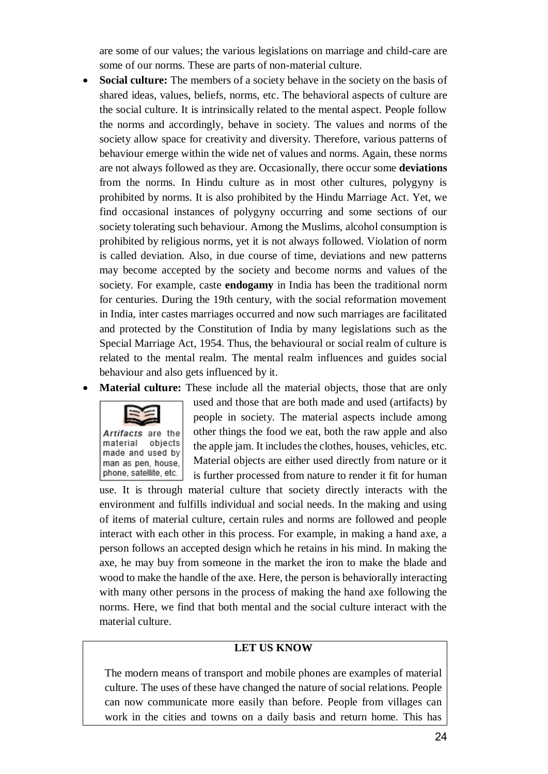are some of our values; the various legislations on marriage and child-care are some of our norms. These are parts of non-material culture.

- **Social culture:** The members of a society behave in the society on the basis of shared ideas, values, beliefs, norms, etc. The behavioral aspects of culture are the social culture. It is intrinsically related to the mental aspect. People follow the norms and accordingly, behave in society. The values and norms of the society allow space for creativity and diversity. Therefore, various patterns of behaviour emerge within the wide net of values and norms. Again, these norms are not always followed as they are. Occasionally, there occur some **deviations** from the norms. In Hindu culture as in most other cultures, polygyny is prohibited by norms. It is also prohibited by the Hindu Marriage Act. Yet, we find occasional instances of polygyny occurring and some sections of our society tolerating such behaviour. Among the Muslims, alcohol consumption is prohibited by religious norms, yet it is not always followed. Violation of norm is called deviation. Also, in due course of time, deviations and new patterns may become accepted by the society and become norms and values of the society. For example, caste **endogamy** in India has been the traditional norm for centuries. During the 19th century, with the social reformation movement in India, inter castes marriages occurred and now such marriages are facilitated and protected by the Constitution of India by many legislations such as the Special Marriage Act, 1954. Thus, the behavioural or social realm of culture is related to the mental realm. The mental realm influences and guides social behaviour and also gets influenced by it.
- **Material culture:** These include all the material objects, those that are only



used and those that are both made and used (artifacts) by people in society. The material aspects include among other things the food we eat, both the raw apple and also the apple jam. It includes the clothes, houses, vehicles, etc. Material objects are either used directly from nature or it is further processed from nature to render it fit for human

use. It is through material culture that society directly interacts with the environment and fulfills individual and social needs. In the making and using of items of material culture, certain rules and norms are followed and people interact with each other in this process. For example, in making a hand axe, a person follows an accepted design which he retains in his mind. In making the axe, he may buy from someone in the market the iron to make the blade and wood to make the handle of the axe. Here, the person is behaviorally interacting with many other persons in the process of making the hand axe following the norms. Here, we find that both mental and the social culture interact with the material culture.

#### **LET US KNOW**

The modern means of transport and mobile phones are examples of material culture. The uses of these have changed the nature of social relations. People can now communicate more easily than before. People from villages can work in the cities and towns on a daily basis and return home. This has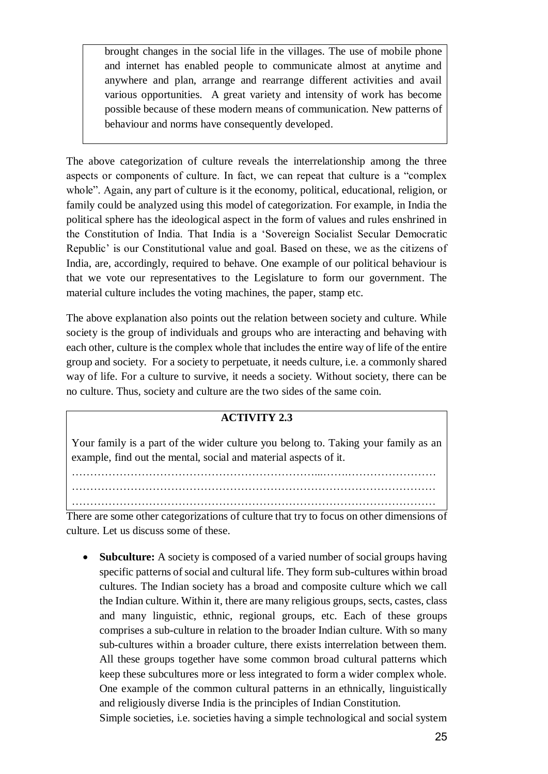brought changes in the social life in the villages. The use of mobile phone and internet has enabled people to communicate almost at anytime and anywhere and plan, arrange and rearrange different activities and avail various opportunities. A great variety and intensity of work has become possible because of these modern means of communication. New patterns of behaviour and norms have consequently developed.

The above categorization of culture reveals the interrelationship among the three aspects or components of culture. In fact, we can repeat that culture is a "complex whole". Again, any part of culture is it the economy, political, educational, religion, or family could be analyzed using this model of categorization. For example, in India the political sphere has the ideological aspect in the form of values and rules enshrined in the Constitution of India. That India is a 'Sovereign Socialist Secular Democratic Republic' is our Constitutional value and goal. Based on these, we as the citizens of India, are, accordingly, required to behave. One example of our political behaviour is that we vote our representatives to the Legislature to form our government. The material culture includes the voting machines, the paper, stamp etc.

The above explanation also points out the relation between society and culture. While society is the group of individuals and groups who are interacting and behaving with each other, culture is the complex whole that includes the entire way of life of the entire group and society. For a society to perpetuate, it needs culture, i.e. a commonly shared way of life. For a culture to survive, it needs a society. Without society, there can be no culture. Thus, society and culture are the two sides of the same coin.

#### **ACTIVITY 2.3**

Your family is a part of the wider culture you belong to. Taking your family as an example, find out the mental, social and material aspects of it.

…………………………………………………………...…….……………………

……………………………………………………………………………………… ………………………………………………………………………………………

There are some other categorizations of culture that try to focus on other dimensions of culture. Let us discuss some of these.

• **Subculture:** A society is composed of a varied number of social groups having specific patterns of social and cultural life. They form sub-cultures within broad cultures. The Indian society has a broad and composite culture which we call the Indian culture. Within it, there are many religious groups, sects, castes, class and many linguistic, ethnic, regional groups, etc. Each of these groups comprises a sub-culture in relation to the broader Indian culture. With so many sub-cultures within a broader culture, there exists interrelation between them. All these groups together have some common broad cultural patterns which keep these subcultures more or less integrated to form a wider complex whole. One example of the common cultural patterns in an ethnically, linguistically and religiously diverse India is the principles of Indian Constitution.

Simple societies, i.e. societies having a simple technological and social system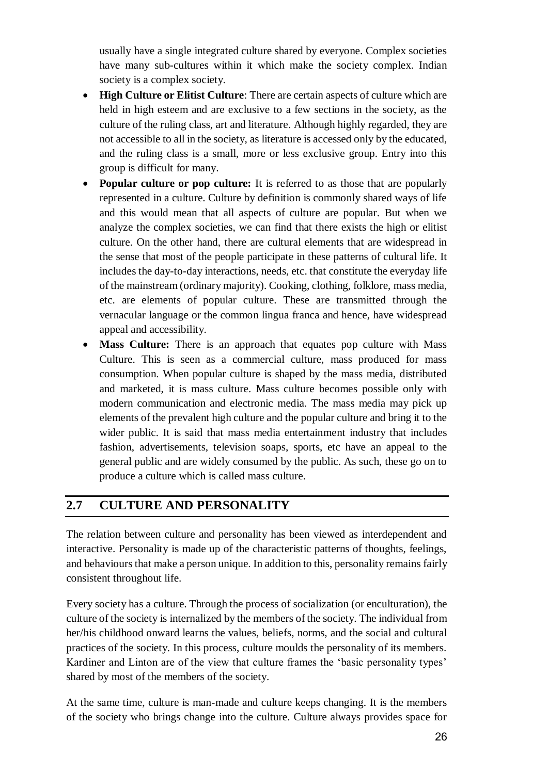usually have a single integrated culture shared by everyone. Complex societies have many sub-cultures within it which make the society complex. Indian society is a complex society.

- **High Culture or Elitist Culture**: There are certain aspects of culture which are held in high esteem and are exclusive to a few sections in the society, as the culture of the ruling class, art and literature. Although highly regarded, they are not accessible to all in the society, as literature is accessed only by the educated, and the ruling class is a small, more or less exclusive group. Entry into this group is difficult for many.
- **Popular culture or pop culture:** It is referred to as those that are popularly represented in a culture. Culture by definition is commonly shared ways of life and this would mean that all aspects of culture are popular. But when we analyze the complex societies, we can find that there exists the high or elitist culture. On the other hand, there are cultural elements that are widespread in the sense that most of the people participate in these patterns of cultural life. It includes the day-to-day interactions, needs, etc. that constitute the everyday life of the mainstream (ordinary majority). Cooking, clothing, folklore, mass media, etc. are elements of popular culture. These are transmitted through the vernacular language or the common lingua franca and hence, have widespread appeal and accessibility.
- Mass Culture: There is an approach that equates pop culture with Mass Culture. This is seen as a commercial culture, mass produced for mass consumption. When popular culture is shaped by the mass media, distributed and marketed, it is mass culture. Mass culture becomes possible only with modern communication and electronic media. The mass media may pick up elements of the prevalent high culture and the popular culture and bring it to the wider public. It is said that mass media entertainment industry that includes fashion, advertisements, television soaps, sports, etc have an appeal to the general public and are widely consumed by the public. As such, these go on to produce a culture which is called mass culture.

# **2.7 CULTURE AND PERSONALITY**

The relation between culture and personality has been viewed as interdependent and interactive. Personality is made up of the characteristic patterns of thoughts, feelings, and behaviours that make a person unique. In addition to this, personality remains fairly consistent throughout life.

Every society has a culture. Through the process of socialization (or enculturation), the culture of the society is internalized by the members of the society. The individual from her/his childhood onward learns the values, beliefs, norms, and the social and cultural practices of the society. In this process, culture moulds the personality of its members. Kardiner and Linton are of the view that culture frames the 'basic personality types' shared by most of the members of the society.

At the same time, culture is man-made and culture keeps changing. It is the members of the society who brings change into the culture. Culture always provides space for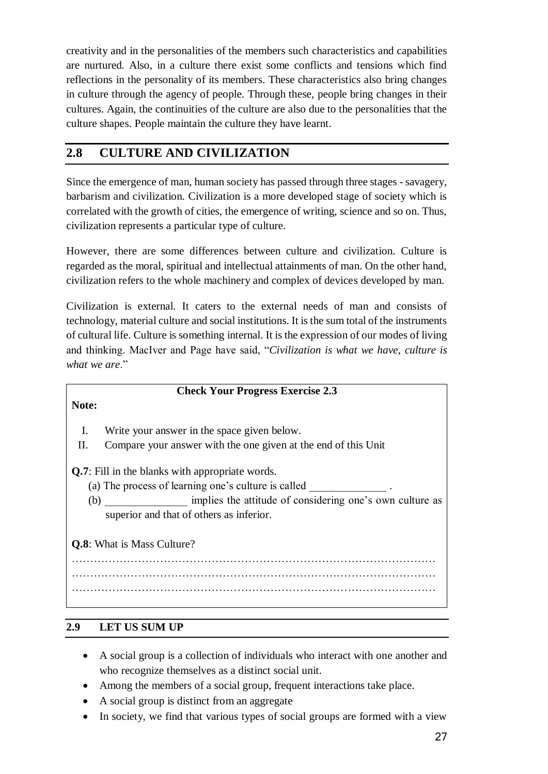creativity and in the personalities of the members such characteristics and capabilities are nurtured. Also, in a culture there exist some conflicts and tensions which find reflections in the personality of its members. These characteristics also bring changes in culture through the agency of people. Through these, people bring changes in their cultures. Again, the continuities of the culture are also due to the personalities that the culture shapes. People maintain the culture they have learnt.

# **2.8 CULTURE AND CIVILIZATION**

Since the emergence of man, human society has passed through three stages - savagery, barbarism and civilization. Civilization is a more developed stage of society which is correlated with the growth of cities, the emergence of writing, science and so on. Thus, civilization represents a particular type of culture.

However, there are some differences between culture and civilization. Culture is regarded as the moral, spiritual and intellectual attainments of man. On the other hand, civilization refers to the whole machinery and complex of devices developed by man.

Civilization is external. It caters to the external needs of man and consists of technology, material culture and social institutions. It is the sum total of the instruments of cultural life. Culture is something internal. It is the expression of our modes of living and thinking. MacIver and Page have said, "*Civilization is what we have, culture is what we are*."

#### **Check Your Progress Exercise 2.3**

**Note:** 

- I. Write your answer in the space given below.
- II. Compare your answer with the one given at the end of this Unit

**Q.7**: Fill in the blanks with appropriate words.

- (a) The process of learning one's culture is called
- (b) implies the attitude of considering one's own culture as superior and that of others as inferior.

**Q.8**: What is Mass Culture? ……………………………………………………………………………………… ……………………………………………………………………………………… ………………………………………………………………………………………

# **2.9 LET US SUM UP**

- A social group is a collection of individuals who interact with one another and who recognize themselves as a distinct social unit.
- Among the members of a social group, frequent interactions take place.
- A social group is distinct from an aggregate
- In society, we find that various types of social groups are formed with a view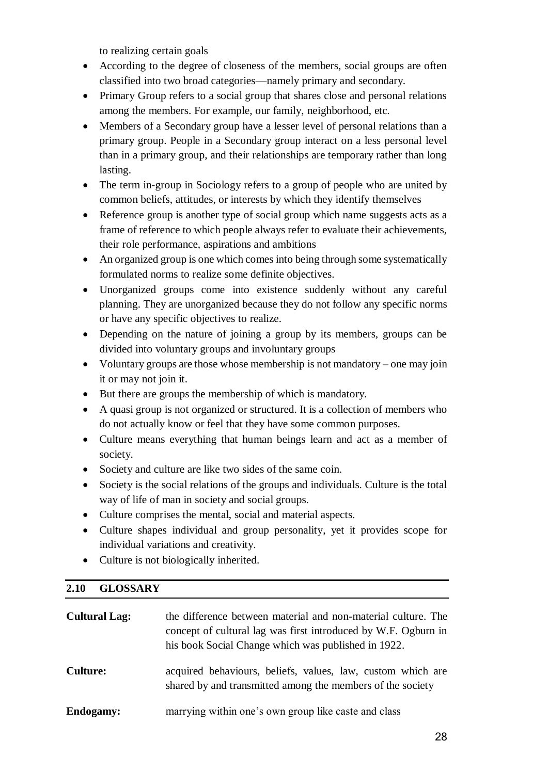to realizing certain goals

- According to the degree of closeness of the members, social groups are often classified into two broad categories—namely primary and secondary.
- Primary Group refers to a social group that shares close and personal relations among the members. For example, our family, neighborhood, etc.
- Members of a Secondary group have a lesser level of personal relations than a primary group. People in a Secondary group interact on a less personal level than in a primary group, and their relationships are temporary rather than long lasting.
- The term in-group in Sociology refers to a group of people who are united by common beliefs, attitudes, or interests by which they identify themselves
- Reference group is another type of social group which name suggests acts as a frame of reference to which people always refer to evaluate their achievements, their role performance, aspirations and ambitions
- An organized group is one which comes into being through some systematically formulated norms to realize some definite objectives.
- Unorganized groups come into existence suddenly without any careful planning. They are unorganized because they do not follow any specific norms or have any specific objectives to realize.
- Depending on the nature of joining a group by its members, groups can be divided into voluntary groups and involuntary groups
- Voluntary groups are those whose membership is not mandatory one may join it or may not join it.
- But there are groups the membership of which is mandatory.
- A quasi group is not organized or structured. It is a collection of members who do not actually know or feel that they have some common purposes.
- Culture means everything that human beings learn and act as a member of society.
- Society and culture are like two sides of the same coin.
- Society is the social relations of the groups and individuals. Culture is the total way of life of man in society and social groups.
- Culture comprises the mental, social and material aspects.
- Culture shapes individual and group personality, yet it provides scope for individual variations and creativity.
- Culture is not biologically inherited.

## **2.10 GLOSSARY**

| <b>Cultural Lag:</b> | the difference between material and non-material culture. The<br>concept of cultural lag was first introduced by W.F. Ogburn in<br>his book Social Change which was published in 1922. |
|----------------------|----------------------------------------------------------------------------------------------------------------------------------------------------------------------------------------|
| <b>Culture:</b>      | acquired behaviours, beliefs, values, law, custom which are<br>shared by and transmitted among the members of the society                                                              |
| <b>Endogamy:</b>     | marrying within one's own group like caste and class                                                                                                                                   |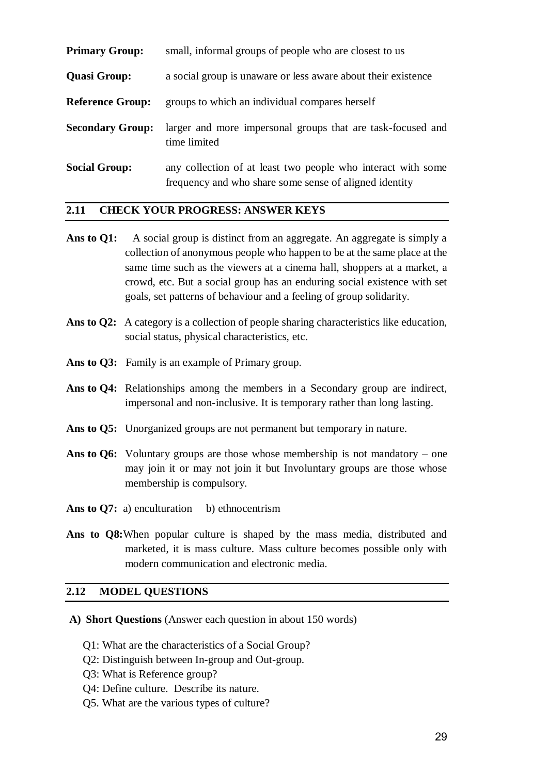| <b>Primary Group:</b>   | small, informal groups of people who are closest to us                                                                 |  |
|-------------------------|------------------------------------------------------------------------------------------------------------------------|--|
| <b>Quasi Group:</b>     | a social group is unaware or less aware about their existence                                                          |  |
| <b>Reference Group:</b> | groups to which an individual compares herself                                                                         |  |
| <b>Secondary Group:</b> | larger and more impersonal groups that are task-focused and<br>time limited                                            |  |
| <b>Social Group:</b>    | any collection of at least two people who interact with some<br>frequency and who share some sense of aligned identity |  |

#### **2.11 CHECK YOUR PROGRESS: ANSWER KEYS**

- Ans to Q1: A social group is distinct from an aggregate. An aggregate is simply a collection of anonymous people who happen to be at the same place at the same time such as the viewers at a cinema hall, shoppers at a market, a crowd, etc. But a social group has an enduring social existence with set goals, set patterns of behaviour and a feeling of group solidarity.
- **Ans to Q2:** A category is a collection of people sharing characteristics like education, social status, physical characteristics, etc.
- Ans to Q3: Family is an example of Primary group.
- Ans to Q4: Relationships among the members in a Secondary group are indirect, impersonal and non-inclusive. It is temporary rather than long lasting.
- Ans to Q5: Unorganized groups are not permanent but temporary in nature.
- **Ans to Q6:** Voluntary groups are those whose membership is not mandatory one may join it or may not join it but Involuntary groups are those whose membership is compulsory.
- Ans to O7: a) enculturation b) ethnocentrism
- **Ans to Q8:**When popular culture is shaped by the mass media, distributed and marketed, it is mass culture. Mass culture becomes possible only with modern communication and electronic media.

#### **2.12 MODEL QUESTIONS**

- **A) Short Questions** (Answer each question in about 150 words)
	- Q1: What are the characteristics of a Social Group?
	- Q2: Distinguish between In-group and Out-group.
	- Q3: What is Reference group?
	- Q4: Define culture. Describe its nature.
	- Q5. What are the various types of culture?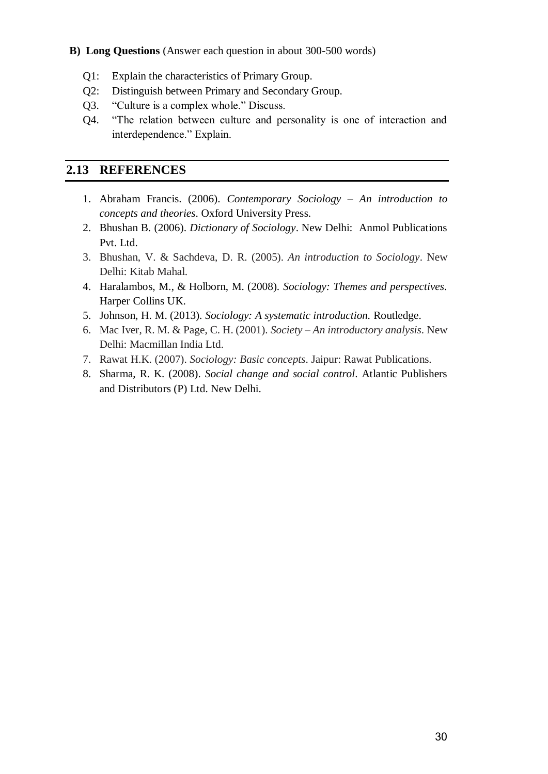#### **B) Long Questions** (Answer each question in about 300-500 words)

- Q1: Explain the characteristics of Primary Group.
- Q2: Distinguish between Primary and Secondary Group.
- Q3. "Culture is a complex whole." Discuss.
- Q4. "The relation between culture and personality is one of interaction and interdependence." Explain.

## **2.13 REFERENCES**

- 1. Abraham Francis. (2006). *Contemporary Sociology – An introduction to concepts and theories*. Oxford University Press.
- 2. Bhushan B. (2006). *Dictionary of Sociology*. New Delhi: Anmol Publications Pvt. Ltd.
- 3. Bhushan, V. & Sachdeva, D. R. (2005). *An introduction to Sociology*. New Delhi: Kitab Mahal.
- 4. Haralambos, M., & Holborn, M. (2008). *Sociology: Themes and perspectives*. Harper Collins UK.
- 5. Johnson, H. M. (2013). *Sociology: A systematic introduction.* Routledge.
- 6. Mac Iver, R. M. & Page, C. H. (2001). *Society – An introductory analysis*. New Delhi: Macmillan India Ltd.
- 7. Rawat H.K. (2007). *Sociology: Basic concepts*. Jaipur: Rawat Publications.
- 8. Sharma, R. K. (2008). *Social change and social control*. Atlantic Publishers and Distributors (P) Ltd. New Delhi.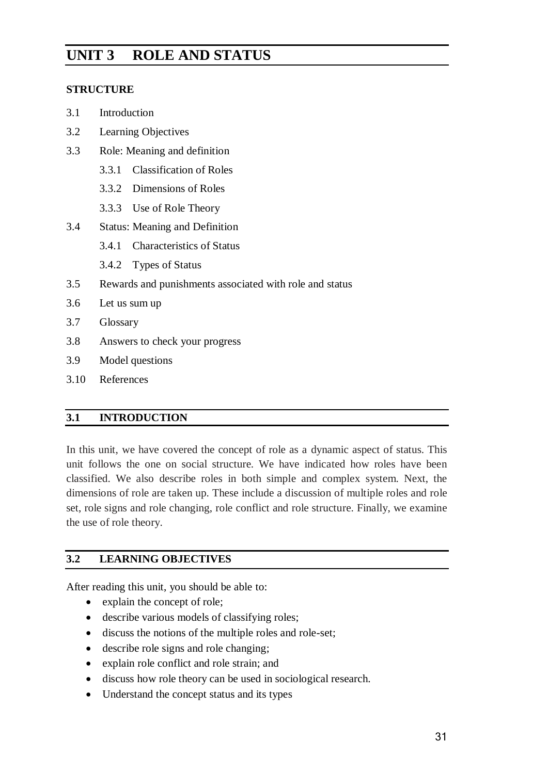# **UNIT 3 ROLE AND STATUS**

#### **STRUCTURE**

- 3.1 Introduction
- 3.2 Learning Objectives
- 3.3 Role: Meaning and definition
	- 3.3.1 Classification of Roles
	- 3.3.2 Dimensions of Roles
	- 3.3.3 Use of Role Theory
- 3.4 Status: Meaning and Definition
	- 3.4.1 Characteristics of Status
	- 3.4.2 Types of Status
- 3.5 Rewards and punishments associated with role and status
- 3.6 Let us sum up
- 3.7 Glossary
- 3.8 Answers to check your progress
- 3.9 Model questions
- 3.10 References

#### **3.1 INTRODUCTION**

In this unit, we have covered the concept of role as a dynamic aspect of status. This unit follows the one on social structure. We have indicated how roles have been classified. We also describe roles in both simple and complex system. Next, the dimensions of role are taken up. These include a discussion of multiple roles and role set, role signs and role changing, role conflict and role structure. Finally, we examine the use of role theory.

#### **3.2 LEARNING OBJECTIVES**

After reading this unit, you should be able to:

- explain the concept of role;
- describe various models of classifying roles;
- discuss the notions of the multiple roles and role-set;
- describe role signs and role changing;
- explain role conflict and role strain; and
- discuss how role theory can be used in sociological research.
- Understand the concept status and its types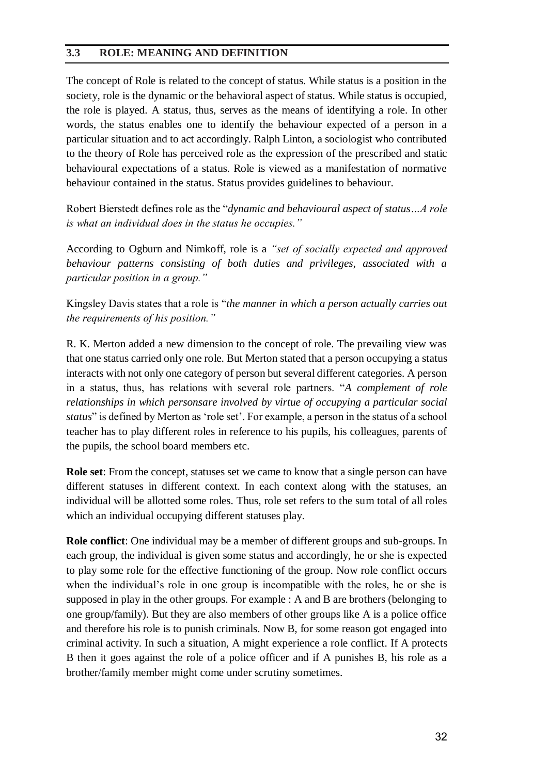#### **3.3 ROLE: MEANING AND DEFINITION**

The concept of Role is related to the concept of status. While status is a position in the society, role is the dynamic or the behavioral aspect of status. While status is occupied, the role is played. A status, thus, serves as the means of identifying a role. In other words, the status enables one to identify the behaviour expected of a person in a particular situation and to act accordingly. Ralph Linton, a sociologist who contributed to the theory of Role has perceived role as the expression of the prescribed and static behavioural expectations of a status. Role is viewed as a manifestation of normative behaviour contained in the status. Status provides guidelines to behaviour.

Robert Bierstedt defines role as the "*dynamic and behavioural aspect of status…A role is what an individual does in the status he occupies."*

According to Ogburn and Nimkoff, role is a *"set of socially expected and approved behaviour patterns consisting of both duties and privileges, associated with a particular position in a group."*

Kingsley Davis states that a role is "*the manner in which a person actually carries out the requirements of his position."*

R. K. Merton added a new dimension to the concept of role. The prevailing view was that one status carried only one role. But Merton stated that a person occupying a status interacts with not only one category of person but several different categories. A person in a status, thus, has relations with several role partners. "*A complement of role relationships in which personsare involved by virtue of occupying a particular social status*" is defined by Merton as 'role set'. For example, a person in the status of a school teacher has to play different roles in reference to his pupils, his colleagues, parents of the pupils, the school board members etc.

**Role set**: From the concept, statuses set we came to know that a single person can have different statuses in different context. In each context along with the statuses, an individual will be allotted some roles. Thus, role set refers to the sum total of all roles which an individual occupying different statuses play.

**Role conflict**: One individual may be a member of different groups and sub-groups. In each group, the individual is given some status and accordingly, he or she is expected to play some role for the effective functioning of the group. Now role conflict occurs when the individual's role in one group is incompatible with the roles, he or she is supposed in play in the other groups. For example : A and B are brothers (belonging to one group/family). But they are also members of other groups like A is a police office and therefore his role is to punish criminals. Now B, for some reason got engaged into criminal activity. In such a situation, A might experience a role conflict. If A protects B then it goes against the role of a police officer and if A punishes B, his role as a brother/family member might come under scrutiny sometimes.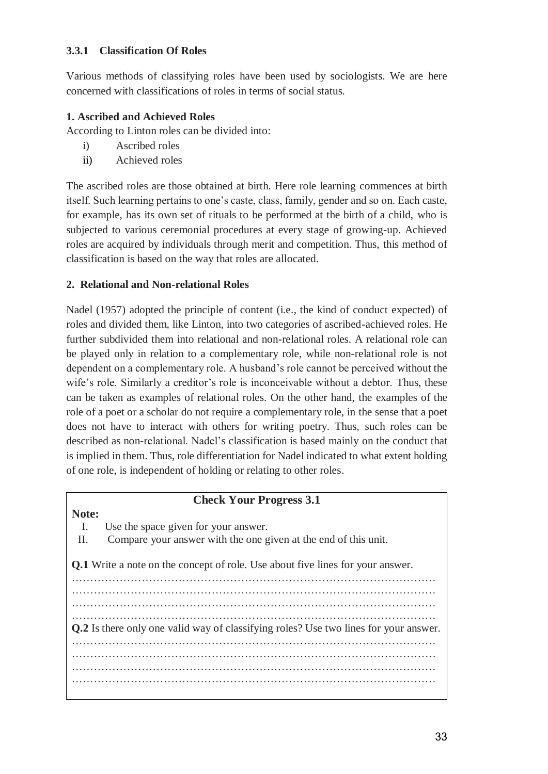#### **3.3.1 Classification Of Roles**

Various methods of classifying roles have been used by sociologists. We are here concerned with classifications of roles in terms of social status.

#### **1. Ascribed and Achieved Roles**

According to Linton roles can be divided into:

- i) Ascribed roles
- ii) Achieved roles

The ascribed roles are those obtained at birth. Here role learning commences at birth itself. Such learning pertains to one's caste, class, family, gender and so on. Each caste, for example, has its own set of rituals to be performed at the birth of a child, who is subjected to various ceremonial procedures at every stage of growing-up. Achieved roles are acquired by individuals through merit and competition. Thus, this method of classification is based on the way that roles are allocated.

## **2. Relational and Non-relational Roles**

Nadel (1957) adopted the principle of content (i.e., the kind of conduct expected) of roles and divided them, like Linton, into two categories of ascribed-achieved roles. He further subdivided them into relational and non-relational roles. A relational role can be played only in relation to a complementary role, while non-relational role is not dependent on a complementary role. A husband's role cannot be perceived without the wife's role. Similarly a creditor's role is inconceivable without a debtor. Thus, these can be taken as examples of relational roles. On the other hand, the examples of the role of a poet or a scholar do not require a complementary role, in the sense that a poet does not have to interact with others for writing poetry. Thus, such roles can be described as non-relational. Nadel's classification is based mainly on the conduct that is implied in them. Thus, role differentiation for Nadel indicated to what extent holding of one role, is independent of holding or relating to other roles.

#### **Check Your Progress 3.1**

I. Use the space given for your answer.

**Note:**

II. Compare your answer with the one given at the end of this unit.

**Q.1** Write a note on the concept of role. Use about five lines for your answer.

……………………………………………………………………………………… ……………………………………………………………………………………… ……………………………………………………………………………………… ……………………………………………………………………………………… **Q.2** Is there only one valid way of classifying roles? Use two lines for your answer. ……………………………………………………………………………………… ……………………………………………………………………………………… ……………………………………………………………………………………… ………………………………………………………………………………………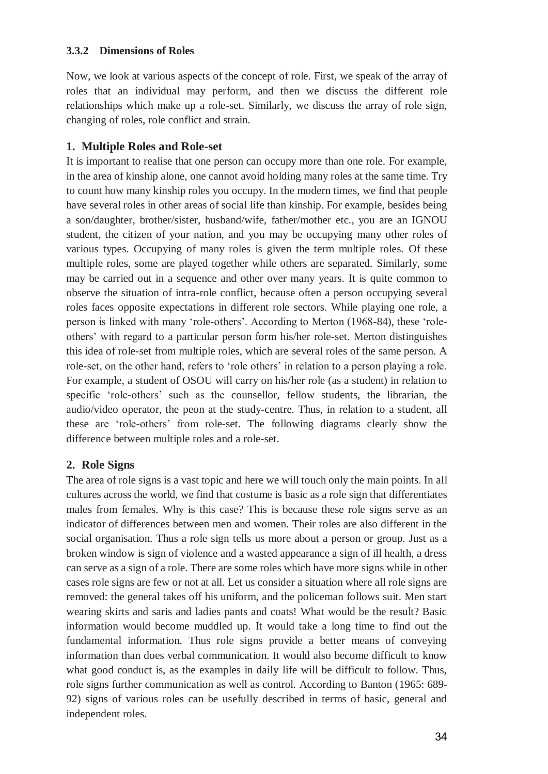#### **3.3.2 Dimensions of Roles**

Now, we look at various aspects of the concept of role. First, we speak of the array of roles that an individual may perform, and then we discuss the different role relationships which make up a role-set. Similarly, we discuss the array of role sign, changing of roles, role conflict and strain.

## **1. Multiple Roles and Role-set**

It is important to realise that one person can occupy more than one role. For example, in the area of kinship alone, one cannot avoid holding many roles at the same time. Try to count how many kinship roles you occupy. In the modern times, we find that people have several roles in other areas of social life than kinship. For example, besides being a son/daughter, brother/sister, husband/wife, father/mother etc., you are an IGNOU student, the citizen of your nation, and you may be occupying many other roles of various types. Occupying of many roles is given the term multiple roles. Of these multiple roles, some are played together while others are separated. Similarly, some may be carried out in a sequence and other over many years. It is quite common to observe the situation of intra-role conflict, because often a person occupying several roles faces opposite expectations in different role sectors. While playing one role, a person is linked with many 'role-others'. According to Merton (1968-84), these 'roleothers' with regard to a particular person form his/her role-set. Merton distinguishes this idea of role-set from multiple roles, which are several roles of the same person. A role-set, on the other hand, refers to 'role others' in relation to a person playing a role. For example, a student of OSOU will carry on his/her role (as a student) in relation to specific 'role-others' such as the counsellor, fellow students, the librarian, the audio/video operator, the peon at the study-centre. Thus, in relation to a student, all these are 'role-others' from role-set. The following diagrams clearly show the difference between multiple roles and a role-set.

## **2. Role Signs**

The area of role signs is a vast topic and here we will touch only the main points. In all cultures across the world, we find that costume is basic as a role sign that differentiates males from females. Why is this case? This is because these role signs serve as an indicator of differences between men and women. Their roles are also different in the social organisation. Thus a role sign tells us more about a person or group. Just as a broken window is sign of violence and a wasted appearance a sign of ill health, a dress can serve as a sign of a role. There are some roles which have more signs while in other cases role signs are few or not at all. Let us consider a situation where all role signs are removed: the general takes off his uniform, and the policeman follows suit. Men start wearing skirts and saris and ladies pants and coats! What would be the result? Basic information would become muddled up. It would take a long time to find out the fundamental information. Thus role signs provide a better means of conveying information than does verbal communication. It would also become difficult to know what good conduct is, as the examples in daily life will be difficult to follow. Thus, role signs further communication as well as control. According to Banton (1965: 689- 92) signs of various roles can be usefully described in terms of basic, general and independent roles.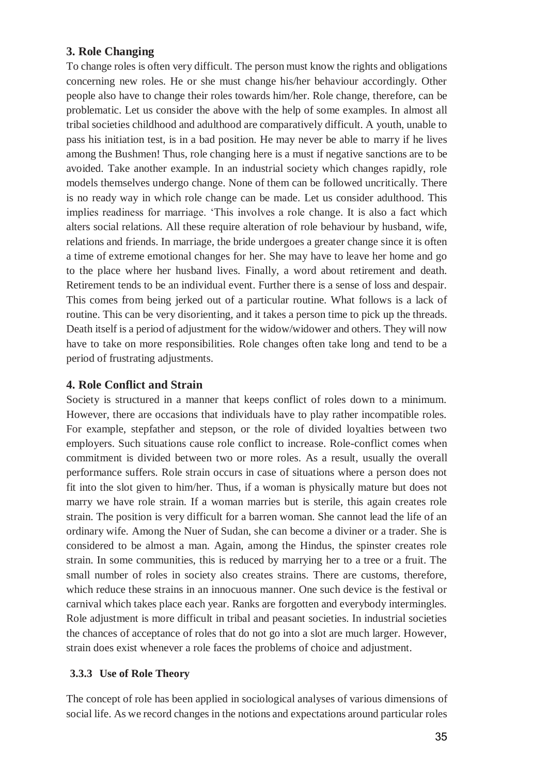## **3. Role Changing**

To change roles is often very difficult. The person must know the rights and obligations concerning new roles. He or she must change his/her behaviour accordingly. Other people also have to change their roles towards him/her. Role change, therefore, can be problematic. Let us consider the above with the help of some examples. In almost all tribal societies childhood and adulthood are comparatively difficult. A youth, unable to pass his initiation test, is in a bad position. He may never be able to marry if he lives among the Bushmen! Thus, role changing here is a must if negative sanctions are to be avoided. Take another example. In an industrial society which changes rapidly, role models themselves undergo change. None of them can be followed uncritically. There is no ready way in which role change can be made. Let us consider adulthood. This implies readiness for marriage. 'This involves a role change. It is also a fact which alters social relations. All these require alteration of role behaviour by husband, wife, relations and friends. In marriage, the bride undergoes a greater change since it is often a time of extreme emotional changes for her. She may have to leave her home and go to the place where her husband lives. Finally, a word about retirement and death. Retirement tends to be an individual event. Further there is a sense of loss and despair. This comes from being jerked out of a particular routine. What follows is a lack of routine. This can be very disorienting, and it takes a person time to pick up the threads. Death itself is a period of adjustment for the widow/widower and others. They will now have to take on more responsibilities. Role changes often take long and tend to be a period of frustrating adjustments.

#### **4. Role Conflict and Strain**

Society is structured in a manner that keeps conflict of roles down to a minimum. However, there are occasions that individuals have to play rather incompatible roles. For example, stepfather and stepson, or the role of divided loyalties between two employers. Such situations cause role conflict to increase. Role-conflict comes when commitment is divided between two or more roles. As a result, usually the overall performance suffers. Role strain occurs in case of situations where a person does not fit into the slot given to him/her. Thus, if a woman is physically mature but does not marry we have role strain. If a woman marries but is sterile, this again creates role strain. The position is very difficult for a barren woman. She cannot lead the life of an ordinary wife. Among the Nuer of Sudan, she can become a diviner or a trader. She is considered to be almost a man. Again, among the Hindus, the spinster creates role strain. In some communities, this is reduced by marrying her to a tree or a fruit. The small number of roles in society also creates strains. There are customs, therefore, which reduce these strains in an innocuous manner. One such device is the festival or carnival which takes place each year. Ranks are forgotten and everybody intermingles. Role adjustment is more difficult in tribal and peasant societies. In industrial societies the chances of acceptance of roles that do not go into a slot are much larger. However, strain does exist whenever a role faces the problems of choice and adjustment.

#### **3.3.3 Use of Role Theory**

The concept of role has been applied in sociological analyses of various dimensions of social life. As we record changes in the notions and expectations around particular roles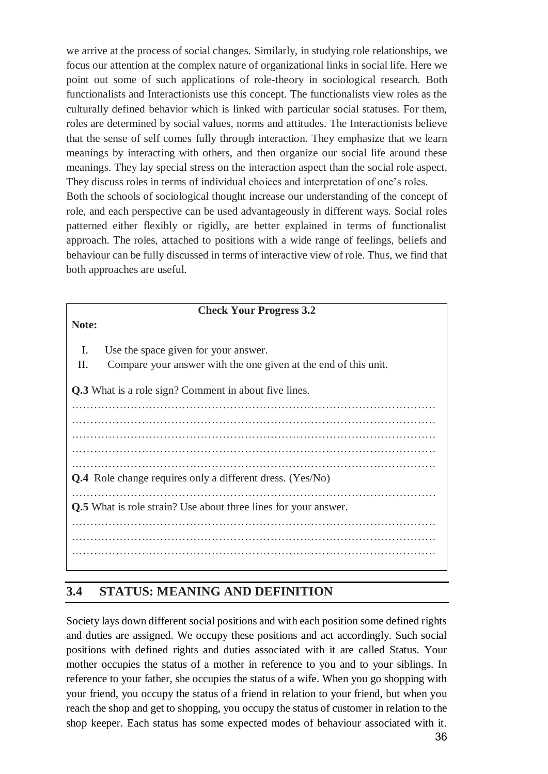we arrive at the process of social changes. Similarly, in studying role relationships, we focus our attention at the complex nature of organizational links in social life. Here we point out some of such applications of role-theory in sociological research. Both functionalists and Interactionists use this concept. The functionalists view roles as the culturally defined behavior which is linked with particular social statuses. For them, roles are determined by social values, norms and attitudes. The Interactionists believe that the sense of self comes fully through interaction. They emphasize that we learn meanings by interacting with others, and then organize our social life around these meanings. They lay special stress on the interaction aspect than the social role aspect. They discuss roles in terms of individual choices and interpretation of one's roles. Both the schools of sociological thought increase our understanding of the concept of role, and each perspective can be used advantageously in different ways. Social roles patterned either flexibly or rigidly, are better explained in terms of functionalist

approach. The roles, attached to positions with a wide range of feelings, beliefs and behaviour can be fully discussed in terms of interactive view of role. Thus, we find that both approaches are useful.

|                                                                        | <b>Check Your Progress 3.2</b>                                  |  |  |
|------------------------------------------------------------------------|-----------------------------------------------------------------|--|--|
| Note:                                                                  |                                                                 |  |  |
|                                                                        |                                                                 |  |  |
| Ι.                                                                     | Use the space given for your answer.                            |  |  |
| П.                                                                     | Compare your answer with the one given at the end of this unit. |  |  |
|                                                                        |                                                                 |  |  |
|                                                                        | <b>Q.3</b> What is a role sign? Comment in about five lines.    |  |  |
|                                                                        |                                                                 |  |  |
|                                                                        |                                                                 |  |  |
|                                                                        |                                                                 |  |  |
|                                                                        |                                                                 |  |  |
|                                                                        |                                                                 |  |  |
| <b>Q.4</b> Role change requires only a different dress. (Yes/No)       |                                                                 |  |  |
|                                                                        |                                                                 |  |  |
| <b>Q.5</b> What is role strain? Use about three lines for your answer. |                                                                 |  |  |
|                                                                        |                                                                 |  |  |
|                                                                        |                                                                 |  |  |
|                                                                        |                                                                 |  |  |
|                                                                        |                                                                 |  |  |

# **3.4 STATUS: MEANING AND DEFINITION**

Society lays down different social positions and with each position some defined rights and duties are assigned. We occupy these positions and act accordingly. Such social positions with defined rights and duties associated with it are called Status. Your mother occupies the status of a mother in reference to you and to your siblings. In reference to your father, she occupies the status of a wife. When you go shopping with your friend, you occupy the status of a friend in relation to your friend, but when you reach the shop and get to shopping, you occupy the status of customer in relation to the shop keeper. Each status has some expected modes of behaviour associated with it.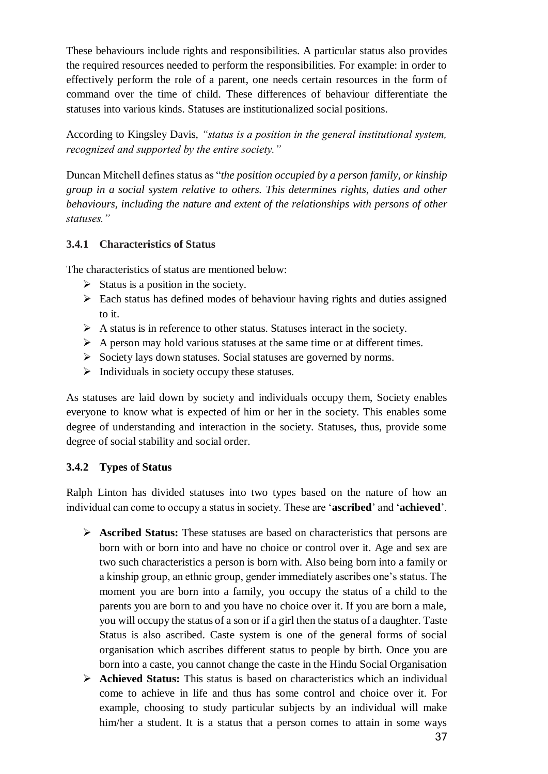These behaviours include rights and responsibilities. A particular status also provides the required resources needed to perform the responsibilities. For example: in order to effectively perform the role of a parent, one needs certain resources in the form of command over the time of child. These differences of behaviour differentiate the statuses into various kinds. Statuses are institutionalized social positions.

According to Kingsley Davis, *"status is a position in the general institutional system, recognized and supported by the entire society."*

Duncan Mitchell defines status as "*the position occupied by a person family, or kinship group in a social system relative to others. This determines rights, duties and other behaviours, including the nature and extent of the relationships with persons of other statuses."*

#### **3.4.1 Characteristics of Status**

The characteristics of status are mentioned below:

- $\triangleright$  Status is a position in the society.
- Each status has defined modes of behaviour having rights and duties assigned to it.
- $\triangleright$  A status is in reference to other status. Statuses interact in the society.
- $\triangleright$  A person may hold various statuses at the same time or at different times.
- $\triangleright$  Society lays down statuses. Social statuses are governed by norms.
- $\triangleright$  Individuals in society occupy these statuses.

As statuses are laid down by society and individuals occupy them, Society enables everyone to know what is expected of him or her in the society. This enables some degree of understanding and interaction in the society. Statuses, thus, provide some degree of social stability and social order.

#### **3.4.2 Types of Status**

Ralph Linton has divided statuses into two types based on the nature of how an individual can come to occupy a status in society. These are '**ascribed**' and '**achieved**'.

- **Ascribed Status:** These statuses are based on characteristics that persons are born with or born into and have no choice or control over it. Age and sex are two such characteristics a person is born with. Also being born into a family or a kinship group, an ethnic group, gender immediately ascribes one's status. The moment you are born into a family, you occupy the status of a child to the parents you are born to and you have no choice over it. If you are born a male, you will occupy the status of a son or if a girl then the status of a daughter. Taste Status is also ascribed. Caste system is one of the general forms of social organisation which ascribes different status to people by birth. Once you are born into a caste, you cannot change the caste in the Hindu Social Organisation
- **Achieved Status:** This status is based on characteristics which an individual come to achieve in life and thus has some control and choice over it. For example, choosing to study particular subjects by an individual will make him/her a student. It is a status that a person comes to attain in some ways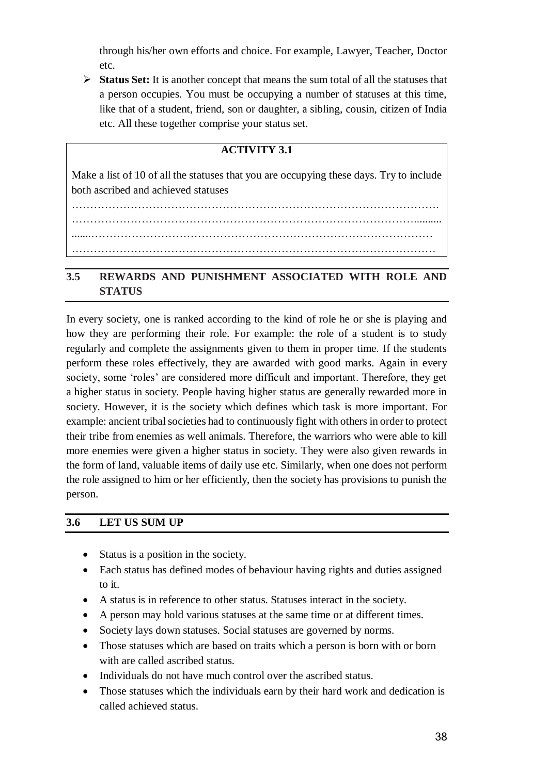through his/her own efforts and choice. For example, Lawyer, Teacher, Doctor etc.

 **Status Set:** It is another concept that means the sum total of all the statuses that a person occupies. You must be occupying a number of statuses at this time, like that of a student, friend, son or daughter, a sibling, cousin, citizen of India etc. All these together comprise your status set.

## **ACTIVITY 3.1**

Make a list of 10 of all the statuses that you are occupying these days. Try to include both ascribed and achieved statuses

………………………………………………………………………………………. ………………………………………………………………………………….......... .......………………………………………………………………………………… ………………………………………………………………………………………

## **3.5 REWARDS AND PUNISHMENT ASSOCIATED WITH ROLE AND STATUS**

In every society, one is ranked according to the kind of role he or she is playing and how they are performing their role. For example: the role of a student is to study regularly and complete the assignments given to them in proper time. If the students perform these roles effectively, they are awarded with good marks. Again in every society, some 'roles' are considered more difficult and important. Therefore, they get a higher status in society. People having higher status are generally rewarded more in society. However, it is the society which defines which task is more important. For example: ancient tribal societies had to continuously fight with others in order to protect their tribe from enemies as well animals. Therefore, the warriors who were able to kill more enemies were given a higher status in society. They were also given rewards in the form of land, valuable items of daily use etc. Similarly, when one does not perform the role assigned to him or her efficiently, then the society has provisions to punish the person.

#### **3.6 LET US SUM UP**

- Status is a position in the society.
- Each status has defined modes of behaviour having rights and duties assigned to it.
- A status is in reference to other status. Statuses interact in the society.
- A person may hold various statuses at the same time or at different times.
- Society lays down statuses. Social statuses are governed by norms.
- Those statuses which are based on traits which a person is born with or born with are called ascribed status.
- Individuals do not have much control over the ascribed status.
- Those statuses which the individuals earn by their hard work and dedication is called achieved status.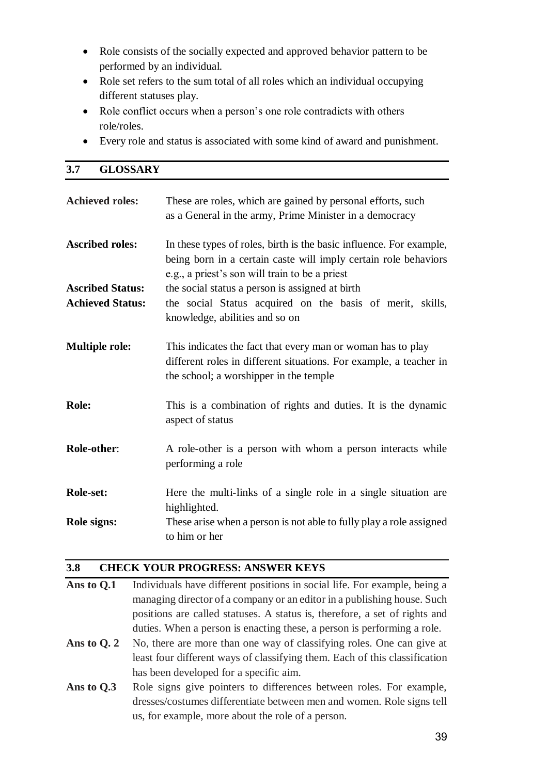- Role consists of the socially expected and approved behavior pattern to be performed by an individual.
- Role set refers to the sum total of all roles which an individual occupying different statuses play.
- Role conflict occurs when a person's one role contradicts with others role/roles.
- Every role and status is associated with some kind of award and punishment.

#### **3.7 GLOSSARY**

| <b>Achieved roles:</b>  | These are roles, which are gained by personal efforts, such<br>as a General in the army, Prime Minister in a democracy                                                                   |
|-------------------------|------------------------------------------------------------------------------------------------------------------------------------------------------------------------------------------|
| <b>Ascribed roles:</b>  | In these types of roles, birth is the basic influence. For example,<br>being born in a certain caste will imply certain role behaviors<br>e.g., a priest's son will train to be a priest |
| <b>Ascribed Status:</b> | the social status a person is assigned at birth                                                                                                                                          |
| <b>Achieved Status:</b> | the social Status acquired on the basis of merit, skills,<br>knowledge, abilities and so on                                                                                              |
| <b>Multiple role:</b>   | This indicates the fact that every man or woman has to play<br>different roles in different situations. For example, a teacher in<br>the school; a worshipper in the temple              |
| Role:                   | This is a combination of rights and duties. It is the dynamic<br>aspect of status                                                                                                        |
| Role-other:             | A role-other is a person with whom a person interacts while<br>performing a role                                                                                                         |
| Role-set:               | Here the multi-links of a single role in a single situation are<br>highlighted.                                                                                                          |
| Role signs:             | These arise when a person is not able to fully play a role assigned<br>to him or her                                                                                                     |

#### **3.8 CHECK YOUR PROGRESS: ANSWER KEYS**

- **Ans to Q.1** Individuals have different positions in social life. For example, being a managing director of a company or an editor in a publishing house. Such positions are called statuses. A status is, therefore, a set of rights and duties. When a person is enacting these, a person is performing a role.
- Ans to Q. 2 No, there are more than one way of classifying roles. One can give at least four different ways of classifying them. Each of this classification has been developed for a specific aim.
- Ans to Q.3 Role signs give pointers to differences between roles. For example, dresses/costumes differentiate between men and women. Role signs tell us, for example, more about the role of a person.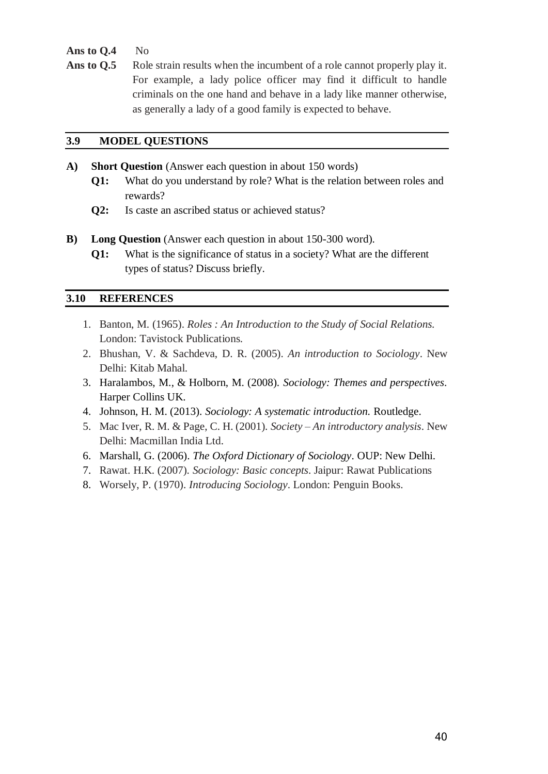- **Ans to Q.4** No
- Ans to Q.5 Role strain results when the incumbent of a role cannot properly play it. For example, a lady police officer may find it difficult to handle criminals on the one hand and behave in a lady like manner otherwise, as generally a lady of a good family is expected to behave.

#### **3.9 MODEL QUESTIONS**

- **A) Short Question** (Answer each question in about 150 words)
	- **Q1:** What do you understand by role? What is the relation between roles and rewards?
	- **Q2:** Is caste an ascribed status or achieved status?
- **B)** Long Question (Answer each question in about 150-300 word).
	- **Q1:** What is the significance of status in a society? What are the different types of status? Discuss briefly.

#### **3.10 REFERENCES**

- 1. Banton, M. (1965). *Roles : An Introduction to the Study of Social Relations.* London: Tavistock Publications*.*
- 2. Bhushan, V. & Sachdeva, D. R. (2005). *An introduction to Sociology*. New Delhi: Kitab Mahal.
- 3. Haralambos, M., & Holborn, M. (2008). *Sociology: Themes and perspectives*. Harper Collins UK.
- 4. Johnson, H. M. (2013). *Sociology: A systematic introduction.* Routledge.
- 5. Mac Iver, R. M. & Page, C. H. (2001). *Society – An introductory analysis*. New Delhi: Macmillan India Ltd.
- 6. Marshall, G. (2006). *The Oxford Dictionary of Sociology*. OUP: New Delhi.
- 7. Rawat. H.K. (2007). *Sociology: Basic concepts*. Jaipur: Rawat Publications
- 8. Worsely, P. (1970). *Introducing Sociology*. London: Penguin Books.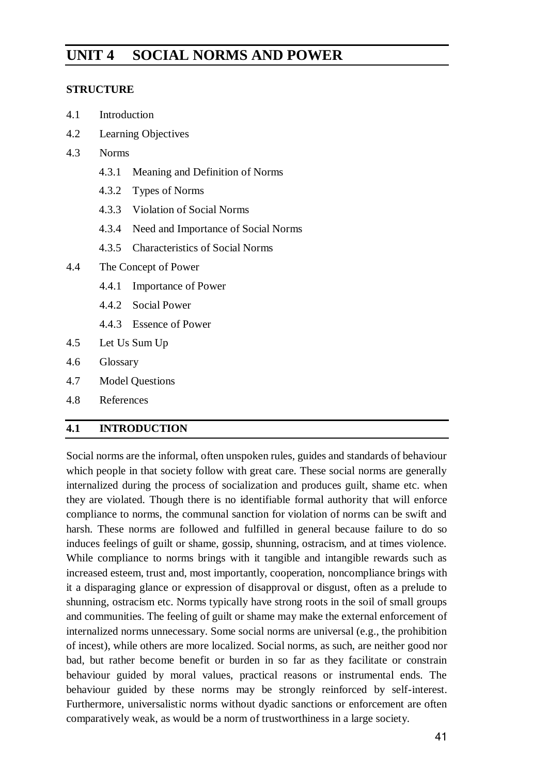# **UNIT 4 SOCIAL NORMS AND POWER**

#### **STRUCTURE**

- 4.1 Introduction
- 4.2 Learning Objectives
- 4.3 Norms
	- 4.3.1 Meaning and Definition of Norms
	- 4.3.2 Types of Norms
	- 4.3.3 Violation of Social Norms
	- 4.3.4 Need and Importance of Social Norms
	- 4.3.5 Characteristics of Social Norms
- 4.4 The Concept of Power
	- 4.4.1 Importance of Power
	- 4.4.2 Social Power
	- 4.4.3 Essence of Power
- 4.5 Let Us Sum Up
- 4.6 Glossary
- 4.7 Model Questions
- 4.8 References

## **4.1 INTRODUCTION**

Social norms are the informal, often unspoken rules, guides and standards of behaviour which people in that society follow with great care. These social norms are generally internalized during the process of socialization and produces guilt, shame etc. when they are violated. Though there is no identifiable formal authority that will enforce compliance to norms, the communal sanction for violation of norms can be swift and harsh. These norms are followed and fulfilled in general because failure to do so induces feelings of guilt or shame, gossip, shunning, ostracism, and at times violence. While compliance to norms brings with it tangible and intangible rewards such as increased esteem, trust and, most importantly, cooperation, noncompliance brings with it a disparaging glance or expression of disapproval or disgust, often as a prelude to shunning, ostracism etc. Norms typically have strong roots in the soil of small groups and communities. The feeling of guilt or shame may make the external enforcement of internalized norms unnecessary. Some social norms are universal (e.g., the prohibition of incest), while others are more localized. Social norms, as such, are neither good nor bad, but rather become benefit or burden in so far as they facilitate or constrain behaviour guided by moral values, practical reasons or instrumental ends. The behaviour guided by these norms may be strongly reinforced by self-interest. Furthermore, universalistic norms without dyadic sanctions or enforcement are often comparatively weak, as would be a norm of trustworthiness in a large society.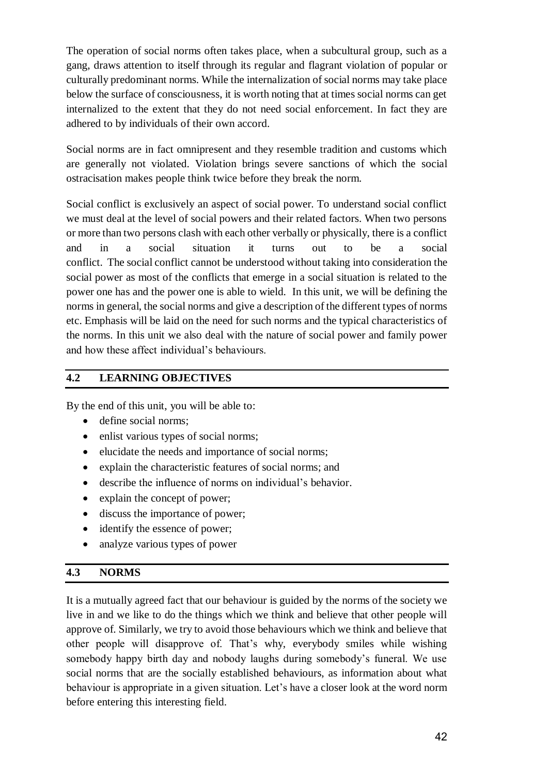The operation of social norms often takes place, when a subcultural group, such as a gang, draws attention to itself through its regular and flagrant violation of popular or culturally predominant norms. While the internalization of social norms may take place below the surface of consciousness, it is worth noting that at times social norms can get internalized to the extent that they do not need social enforcement. In fact they are adhered to by individuals of their own accord.

Social norms are in fact omnipresent and they resemble tradition and customs which are generally not violated. Violation brings severe sanctions of which the social ostracisation makes people think twice before they break the norm.

Social conflict is exclusively an aspect of social power. To understand social conflict we must deal at the level of social powers and their related factors. When two persons or more than two persons clash with each other verbally or physically, there is a conflict and in a social situation it turns out to be a social conflict. The social conflict cannot be understood without taking into consideration the social power as most of the conflicts that emerge in a social situation is related to the power one has and the power one is able to wield. In this unit, we will be defining the norms in general, the social norms and give a description of the different types of norms etc. Emphasis will be laid on the need for such norms and the typical characteristics of the norms. In this unit we also deal with the nature of social power and family power and how these affect individual's behaviours.

## **4.2 LEARNING OBJECTIVES**

By the end of this unit, you will be able to:

- define social norms;
- enlist various types of social norms;
- elucidate the needs and importance of social norms;
- explain the characteristic features of social norms; and
- describe the influence of norms on individual's behavior.
- explain the concept of power;
- discuss the importance of power;
- identify the essence of power:
- analyze various types of power

#### **4.3 NORMS**

It is a mutually agreed fact that our behaviour is guided by the norms of the society we live in and we like to do the things which we think and believe that other people will approve of. Similarly, we try to avoid those behaviours which we think and believe that other people will disapprove of. That's why, everybody smiles while wishing somebody happy birth day and nobody laughs during somebody's funeral. We use social norms that are the socially established behaviours, as information about what behaviour is appropriate in a given situation. Let's have a closer look at the word norm before entering this interesting field.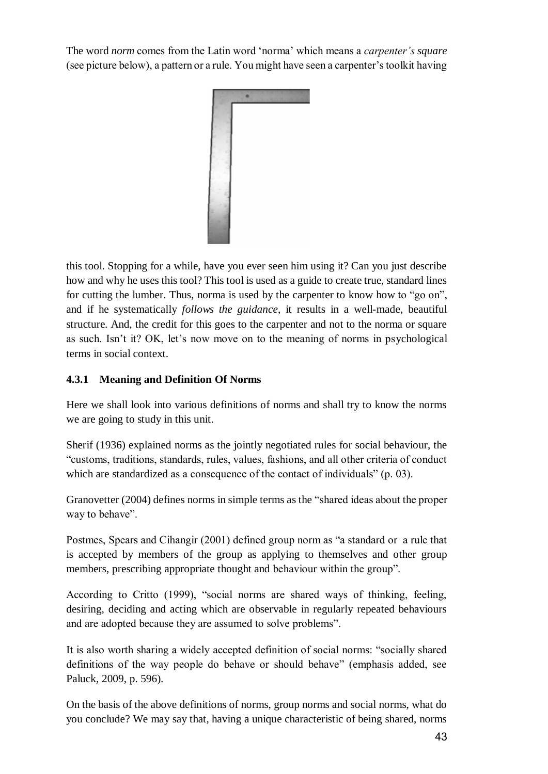The word *norm* comes from the Latin word 'norma' which means a *carpenter's square* (see picture below), a pattern or a rule. You might have seen a carpenter's toolkit having



this tool. Stopping for a while, have you ever seen him using it? Can you just describe how and why he uses this tool? This tool is used as a guide to create true, standard lines for cutting the lumber. Thus, norma is used by the carpenter to know how to "go on", and if he systematically *follows the guidance*, it results in a well-made, beautiful structure. And, the credit for this goes to the carpenter and not to the norma or square as such. Isn't it? OK, let's now move on to the meaning of norms in psychological terms in social context.

## **4.3.1 Meaning and Definition Of Norms**

Here we shall look into various definitions of norms and shall try to know the norms we are going to study in this unit.

Sherif (1936) explained norms as the jointly negotiated rules for social behaviour, the "customs, traditions, standards, rules, values, fashions, and all other criteria of conduct which are standardized as a consequence of the contact of individuals" (p. 03).

Granovetter (2004) defines norms in simple terms as the "shared ideas about the proper way to behave".

Postmes, Spears and Cihangir (2001) defined group norm as "a standard or a rule that is accepted by members of the group as applying to themselves and other group members, prescribing appropriate thought and behaviour within the group".

According to Critto (1999), "social norms are shared ways of thinking, feeling, desiring, deciding and acting which are observable in regularly repeated behaviours and are adopted because they are assumed to solve problems".

It is also worth sharing a widely accepted definition of social norms: "socially shared definitions of the way people do behave or should behave" (emphasis added, see Paluck, 2009, p. 596).

On the basis of the above definitions of norms, group norms and social norms, what do you conclude? We may say that, having a unique characteristic of being shared, norms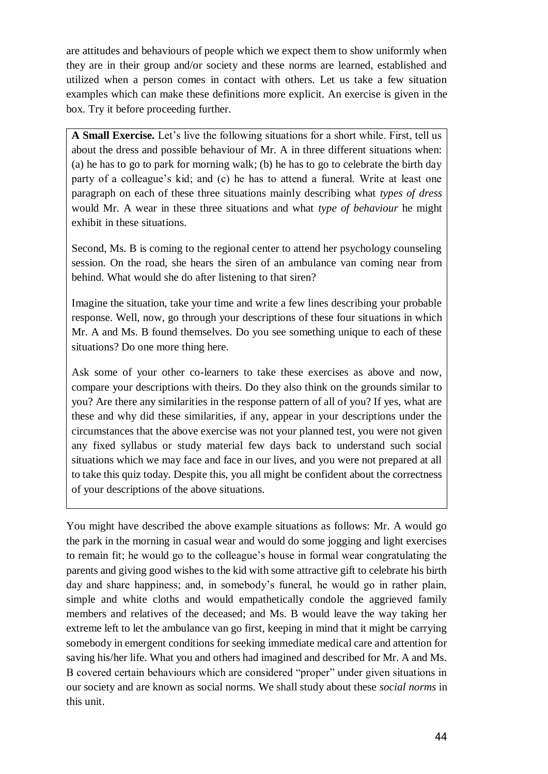are attitudes and behaviours of people which we expect them to show uniformly when they are in their group and/or society and these norms are learned, established and utilized when a person comes in contact with others. Let us take a few situation examples which can make these definitions more explicit. An exercise is given in the box. Try it before proceeding further.

**A Small Exercise.** Let's live the following situations for a short while. First, tell us about the dress and possible behaviour of Mr. A in three different situations when: (a) he has to go to park for morning walk; (b) he has to go to celebrate the birth day party of a colleague's kid; and (c) he has to attend a funeral. Write at least one paragraph on each of these three situations mainly describing what *types of dress* would Mr. A wear in these three situations and what *type of behaviour* he might exhibit in these situations.

Second, Ms. B is coming to the regional center to attend her psychology counseling session. On the road, she hears the siren of an ambulance van coming near from behind. What would she do after listening to that siren?

Imagine the situation, take your time and write a few lines describing your probable response. Well, now, go through your descriptions of these four situations in which Mr. A and Ms. B found themselves. Do you see something unique to each of these situations? Do one more thing here.

Ask some of your other co-learners to take these exercises as above and now, compare your descriptions with theirs. Do they also think on the grounds similar to you? Are there any similarities in the response pattern of all of you? If yes, what are these and why did these similarities, if any, appear in your descriptions under the circumstances that the above exercise was not your planned test, you were not given any fixed syllabus or study material few days back to understand such social situations which we may face and face in our lives, and you were not prepared at all to take this quiz today. Despite this, you all might be confident about the correctness of your descriptions of the above situations.

You might have described the above example situations as follows: Mr. A would go the park in the morning in casual wear and would do some jogging and light exercises to remain fit; he would go to the colleague's house in formal wear congratulating the parents and giving good wishes to the kid with some attractive gift to celebrate his birth day and share happiness; and, in somebody's funeral, he would go in rather plain, simple and white cloths and would empathetically condole the aggrieved family members and relatives of the deceased; and Ms. B would leave the way taking her extreme left to let the ambulance van go first, keeping in mind that it might be carrying somebody in emergent conditions for seeking immediate medical care and attention for saving his/her life. What you and others had imagined and described for Mr. A and Ms. B covered certain behaviours which are considered "proper" under given situations in our society and are known as social norms. We shall study about these *social norms* in this unit.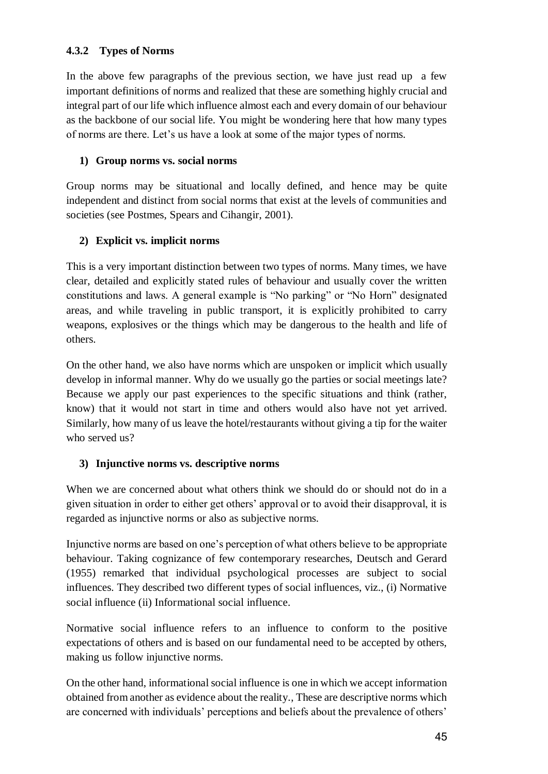## **4.3.2 Types of Norms**

In the above few paragraphs of the previous section, we have just read up a few important definitions of norms and realized that these are something highly crucial and integral part of our life which influence almost each and every domain of our behaviour as the backbone of our social life. You might be wondering here that how many types of norms are there. Let's us have a look at some of the major types of norms.

## **1) Group norms vs. social norms**

Group norms may be situational and locally defined, and hence may be quite independent and distinct from social norms that exist at the levels of communities and societies (see Postmes, Spears and Cihangir, 2001).

## **2) Explicit vs. implicit norms**

This is a very important distinction between two types of norms. Many times, we have clear, detailed and explicitly stated rules of behaviour and usually cover the written constitutions and laws. A general example is "No parking" or "No Horn" designated areas, and while traveling in public transport, it is explicitly prohibited to carry weapons, explosives or the things which may be dangerous to the health and life of others.

On the other hand, we also have norms which are unspoken or implicit which usually develop in informal manner. Why do we usually go the parties or social meetings late? Because we apply our past experiences to the specific situations and think (rather, know) that it would not start in time and others would also have not yet arrived. Similarly, how many of us leave the hotel/restaurants without giving a tip for the waiter who served us?

## **3) Injunctive norms vs. descriptive norms**

When we are concerned about what others think we should do or should not do in a given situation in order to either get others' approval or to avoid their disapproval, it is regarded as injunctive norms or also as subjective norms.

Injunctive norms are based on one's perception of what others believe to be appropriate behaviour. Taking cognizance of few contemporary researches, Deutsch and Gerard (1955) remarked that individual psychological processes are subject to social influences. They described two different types of social influences, viz., (i) Normative social influence (ii) Informational social influence.

Normative social influence refers to an influence to conform to the positive expectations of others and is based on our fundamental need to be accepted by others, making us follow injunctive norms.

On the other hand, informational social influence is one in which we accept information obtained from another as evidence about the reality., These are descriptive norms which are concerned with individuals' perceptions and beliefs about the prevalence of others'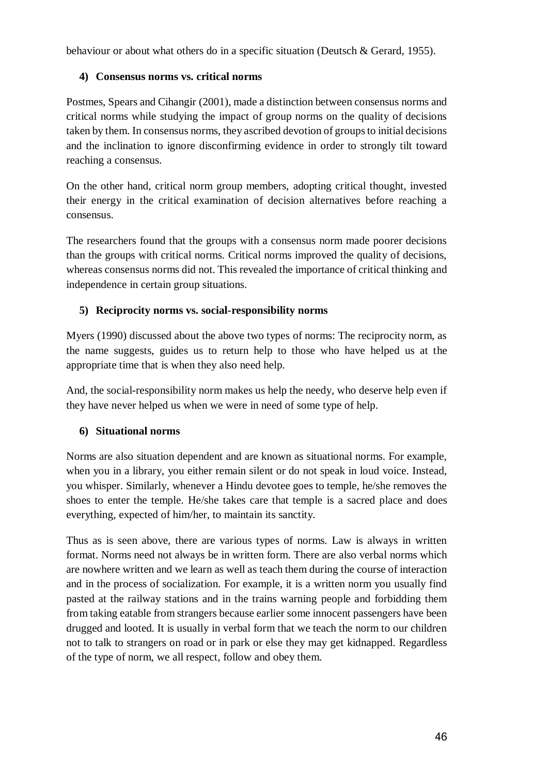behaviour or about what others do in a specific situation (Deutsch & Gerard, 1955).

## **4) Consensus norms vs. critical norms**

Postmes, Spears and Cihangir (2001), made a distinction between consensus norms and critical norms while studying the impact of group norms on the quality of decisions taken by them. In consensus norms, they ascribed devotion of groups to initial decisions and the inclination to ignore disconfirming evidence in order to strongly tilt toward reaching a consensus.

On the other hand, critical norm group members, adopting critical thought, invested their energy in the critical examination of decision alternatives before reaching a consensus.

The researchers found that the groups with a consensus norm made poorer decisions than the groups with critical norms. Critical norms improved the quality of decisions, whereas consensus norms did not. This revealed the importance of critical thinking and independence in certain group situations.

## **5) Reciprocity norms vs. social-responsibility norms**

Myers (1990) discussed about the above two types of norms: The reciprocity norm, as the name suggests, guides us to return help to those who have helped us at the appropriate time that is when they also need help.

And, the social-responsibility norm makes us help the needy, who deserve help even if they have never helped us when we were in need of some type of help.

## **6) Situational norms**

Norms are also situation dependent and are known as situational norms. For example, when you in a library, you either remain silent or do not speak in loud voice. Instead, you whisper. Similarly, whenever a Hindu devotee goes to temple, he/she removes the shoes to enter the temple. He/she takes care that temple is a sacred place and does everything, expected of him/her, to maintain its sanctity.

Thus as is seen above, there are various types of norms. Law is always in written format. Norms need not always be in written form. There are also verbal norms which are nowhere written and we learn as well as teach them during the course of interaction and in the process of socialization. For example, it is a written norm you usually find pasted at the railway stations and in the trains warning people and forbidding them from taking eatable from strangers because earlier some innocent passengers have been drugged and looted. It is usually in verbal form that we teach the norm to our children not to talk to strangers on road or in park or else they may get kidnapped. Regardless of the type of norm, we all respect, follow and obey them.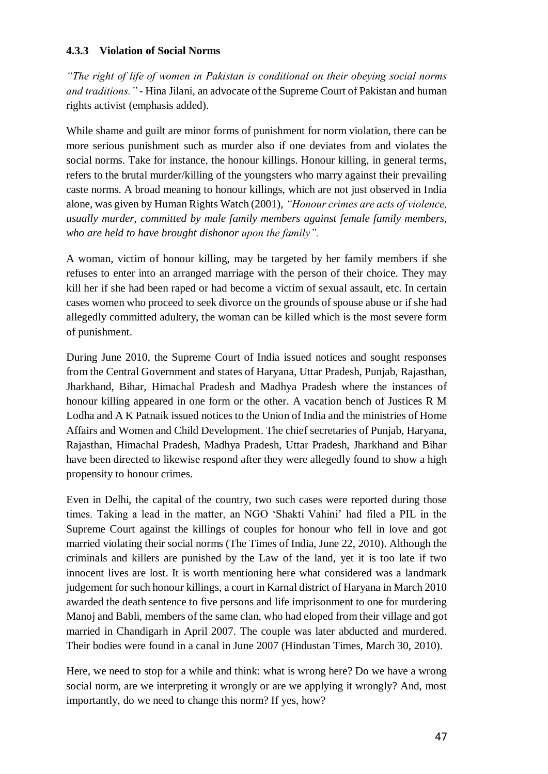#### **4.3.3 Violation of Social Norms**

*"The right of life of women in Pakistan is conditional on their obeying social norms and traditions."* - Hina Jilani, an advocate of the Supreme Court of Pakistan and human rights activist (emphasis added).

While shame and guilt are minor forms of punishment for norm violation, there can be more serious punishment such as murder also if one deviates from and violates the social norms. Take for instance, the honour killings. Honour killing, in general terms, refers to the brutal murder/killing of the youngsters who marry against their prevailing caste norms. A broad meaning to honour killings, which are not just observed in India alone, was given by Human Rights Watch (2001), *"Honour crimes are acts of violence, usually murder, committed by male family members against female family members, who are held to have brought dishonor upon the family".*

A woman, victim of honour killing, may be targeted by her family members if she refuses to enter into an arranged marriage with the person of their choice. They may kill her if she had been raped or had become a victim of sexual assault, etc. In certain cases women who proceed to seek divorce on the grounds of spouse abuse or if she had allegedly committed adultery, the woman can be killed which is the most severe form of punishment.

During June 2010, the Supreme Court of India issued notices and sought responses from the Central Government and states of Haryana, Uttar Pradesh, Punjab, Rajasthan, Jharkhand, Bihar, Himachal Pradesh and Madhya Pradesh where the instances of honour killing appeared in one form or the other. A vacation bench of Justices R M Lodha and A K Patnaik issued notices to the Union of India and the ministries of Home Affairs and Women and Child Development. The chief secretaries of Punjab, Haryana, Rajasthan, Himachal Pradesh, Madhya Pradesh, Uttar Pradesh, Jharkhand and Bihar have been directed to likewise respond after they were allegedly found to show a high propensity to honour crimes.

Even in Delhi, the capital of the country, two such cases were reported during those times. Taking a lead in the matter, an NGO 'Shakti Vahini' had filed a PIL in the Supreme Court against the killings of couples for honour who fell in love and got married violating their social norms (The Times of India, June 22, 2010). Although the criminals and killers are punished by the Law of the land, yet it is too late if two innocent lives are lost. It is worth mentioning here what considered was a landmark judgement for such honour killings, a court in Karnal district of Haryana in March 2010 awarded the death sentence to five persons and life imprisonment to one for murdering Manoj and Babli, members of the same clan, who had eloped from their village and got married in Chandigarh in April 2007. The couple was later abducted and murdered. Their bodies were found in a canal in June 2007 (Hindustan Times, March 30, 2010).

Here, we need to stop for a while and think: what is wrong here? Do we have a wrong social norm, are we interpreting it wrongly or are we applying it wrongly? And, most importantly, do we need to change this norm? If yes, how?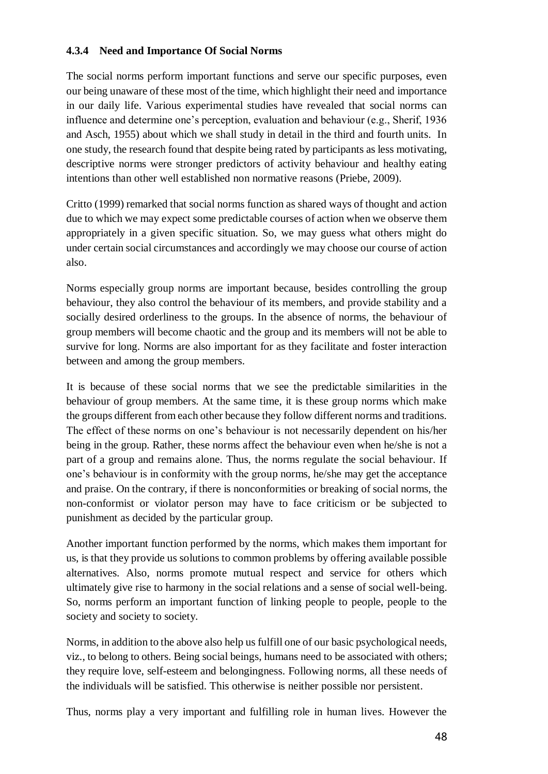## **4.3.4 Need and Importance Of Social Norms**

The social norms perform important functions and serve our specific purposes, even our being unaware of these most of the time, which highlight their need and importance in our daily life. Various experimental studies have revealed that social norms can influence and determine one's perception, evaluation and behaviour (e.g., Sherif, 1936 and Asch, 1955) about which we shall study in detail in the third and fourth units. In one study, the research found that despite being rated by participants as less motivating, descriptive norms were stronger predictors of activity behaviour and healthy eating intentions than other well established non normative reasons (Priebe, 2009).

Critto (1999) remarked that social norms function as shared ways of thought and action due to which we may expect some predictable courses of action when we observe them appropriately in a given specific situation. So, we may guess what others might do under certain social circumstances and accordingly we may choose our course of action also.

Norms especially group norms are important because, besides controlling the group behaviour, they also control the behaviour of its members, and provide stability and a socially desired orderliness to the groups. In the absence of norms, the behaviour of group members will become chaotic and the group and its members will not be able to survive for long. Norms are also important for as they facilitate and foster interaction between and among the group members.

It is because of these social norms that we see the predictable similarities in the behaviour of group members. At the same time, it is these group norms which make the groups different from each other because they follow different norms and traditions. The effect of these norms on one's behaviour is not necessarily dependent on his/her being in the group. Rather, these norms affect the behaviour even when he/she is not a part of a group and remains alone. Thus, the norms regulate the social behaviour. If one's behaviour is in conformity with the group norms, he/she may get the acceptance and praise. On the contrary, if there is nonconformities or breaking of social norms, the non-conformist or violator person may have to face criticism or be subjected to punishment as decided by the particular group.

Another important function performed by the norms, which makes them important for us, is that they provide us solutions to common problems by offering available possible alternatives. Also, norms promote mutual respect and service for others which ultimately give rise to harmony in the social relations and a sense of social well-being. So, norms perform an important function of linking people to people, people to the society and society to society.

Norms, in addition to the above also help us fulfill one of our basic psychological needs, viz., to belong to others. Being social beings, humans need to be associated with others; they require love, self-esteem and belongingness. Following norms, all these needs of the individuals will be satisfied. This otherwise is neither possible nor persistent.

Thus, norms play a very important and fulfilling role in human lives. However the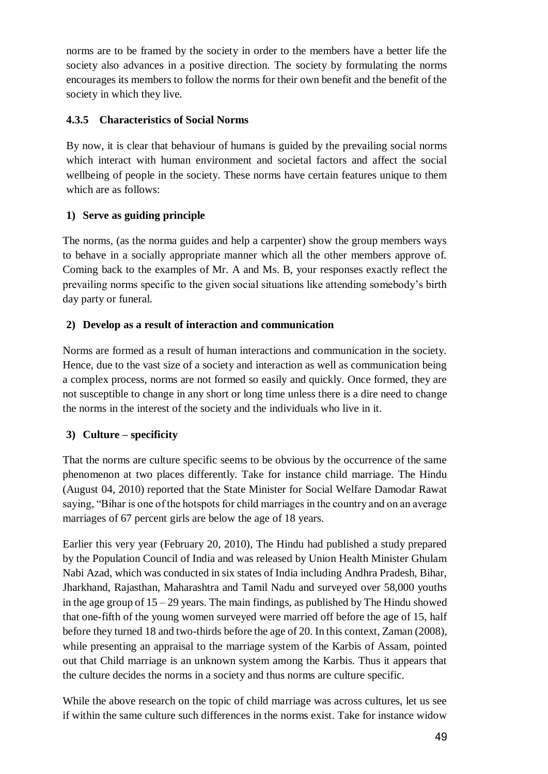norms are to be framed by the society in order to the members have a better life the society also advances in a positive direction. The society by formulating the norms encourages its members to follow the norms for their own benefit and the benefit of the society in which they live.

## **4.3.5 Characteristics of Social Norms**

By now, it is clear that behaviour of humans is guided by the prevailing social norms which interact with human environment and societal factors and affect the social wellbeing of people in the society. These norms have certain features unique to them which are as follows:

## **1) Serve as guiding principle**

The norms, (as the norma guides and help a carpenter) show the group members ways to behave in a socially appropriate manner which all the other members approve of. Coming back to the examples of Mr. A and Ms. B, your responses exactly reflect the prevailing norms specific to the given social situations like attending somebody's birth day party or funeral.

## **2) Develop as a result of interaction and communication**

Norms are formed as a result of human interactions and communication in the society. Hence, due to the vast size of a society and interaction as well as communication being a complex process, norms are not formed so easily and quickly. Once formed, they are not susceptible to change in any short or long time unless there is a dire need to change the norms in the interest of the society and the individuals who live in it.

# **3) Culture – specificity**

That the norms are culture specific seems to be obvious by the occurrence of the same phenomenon at two places differently. Take for instance child marriage. The Hindu (August 04, 2010) reported that the State Minister for Social Welfare Damodar Rawat saying, "Bihar is one of the hotspots for child marriages in the country and on an average marriages of 67 percent girls are below the age of 18 years.

Earlier this very year (February 20, 2010), The Hindu had published a study prepared by the Population Council of India and was released by Union Health Minister Ghulam Nabi Azad, which was conducted in six states of India including Andhra Pradesh, Bihar, Jharkhand, Rajasthan, Maharashtra and Tamil Nadu and surveyed over 58,000 youths in the age group of  $15 - 29$  years. The main findings, as published by The Hindu showed that one-fifth of the young women surveyed were married off before the age of 15, half before they turned 18 and two-thirds before the age of 20. In this context, Zaman (2008), while presenting an appraisal to the marriage system of the Karbis of Assam, pointed out that Child marriage is an unknown system among the Karbis. Thus it appears that the culture decides the norms in a society and thus norms are culture specific.

While the above research on the topic of child marriage was across cultures, let us see if within the same culture such differences in the norms exist. Take for instance widow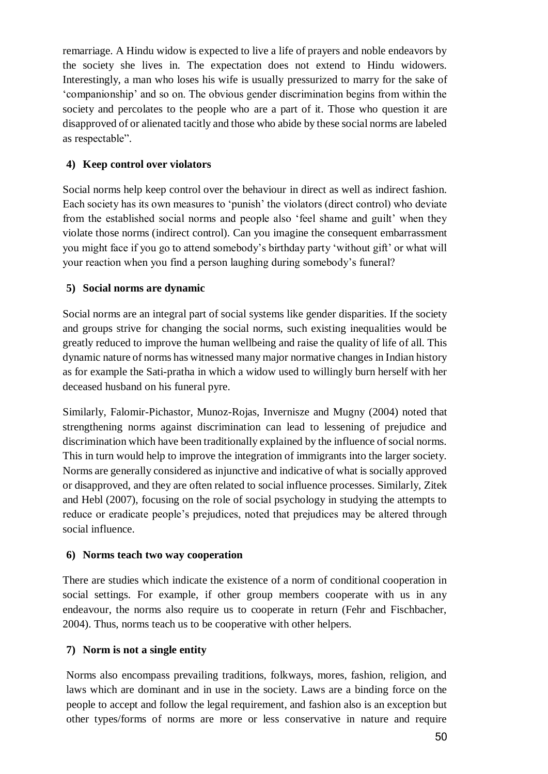remarriage. A Hindu widow is expected to live a life of prayers and noble endeavors by the society she lives in. The expectation does not extend to Hindu widowers. Interestingly, a man who loses his wife is usually pressurized to marry for the sake of 'companionship' and so on. The obvious gender discrimination begins from within the society and percolates to the people who are a part of it. Those who question it are disapproved of or alienated tacitly and those who abide by these social norms are labeled as respectable".

## **4) Keep control over violators**

Social norms help keep control over the behaviour in direct as well as indirect fashion. Each society has its own measures to 'punish' the violators (direct control) who deviate from the established social norms and people also 'feel shame and guilt' when they violate those norms (indirect control). Can you imagine the consequent embarrassment you might face if you go to attend somebody's birthday party 'without gift' or what will your reaction when you find a person laughing during somebody's funeral?

## **5) Social norms are dynamic**

Social norms are an integral part of social systems like gender disparities. If the society and groups strive for changing the social norms, such existing inequalities would be greatly reduced to improve the human wellbeing and raise the quality of life of all. This dynamic nature of norms has witnessed many major normative changes in Indian history as for example the Sati-pratha in which a widow used to willingly burn herself with her deceased husband on his funeral pyre.

Similarly, Falomir-Pichastor, Munoz-Rojas, Invernisze and Mugny (2004) noted that strengthening norms against discrimination can lead to lessening of prejudice and discrimination which have been traditionally explained by the influence of social norms. This in turn would help to improve the integration of immigrants into the larger society. Norms are generally considered as injunctive and indicative of what is socially approved or disapproved, and they are often related to social influence processes. Similarly, Zitek and Hebl (2007), focusing on the role of social psychology in studying the attempts to reduce or eradicate people's prejudices, noted that prejudices may be altered through social influence.

#### **6) Norms teach two way cooperation**

There are studies which indicate the existence of a norm of conditional cooperation in social settings. For example, if other group members cooperate with us in any endeavour, the norms also require us to cooperate in return (Fehr and Fischbacher, 2004). Thus, norms teach us to be cooperative with other helpers.

#### **7) Norm is not a single entity**

Norms also encompass prevailing traditions, folkways, mores, fashion, religion, and laws which are dominant and in use in the society. Laws are a binding force on the people to accept and follow the legal requirement, and fashion also is an exception but other types/forms of norms are more or less conservative in nature and require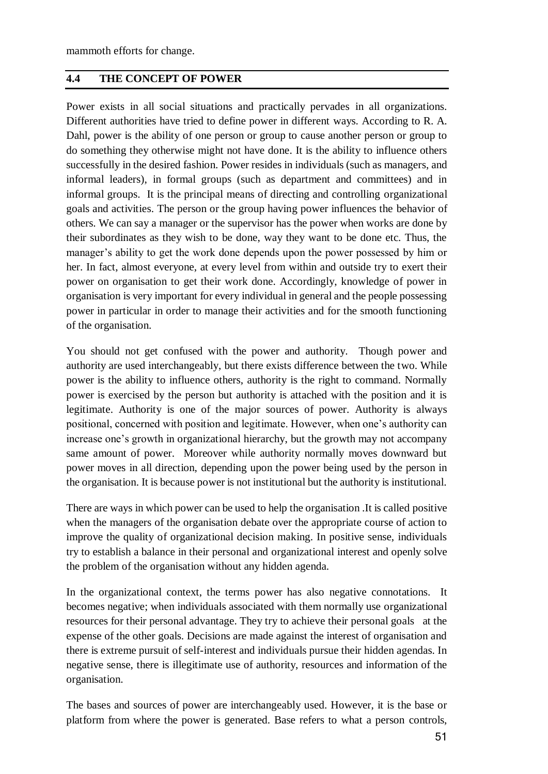mammoth efforts for change.

#### **4.4 THE CONCEPT OF POWER**

Power exists in all social situations and practically pervades in all organizations. Different authorities have tried to define power in different ways. According to R. A. Dahl, power is the ability of one person or group to cause another person or group to do something they otherwise might not have done. It is the ability to influence others successfully in the desired fashion. Power resides in individuals (such as managers, and informal leaders), in formal groups (such as department and committees) and in informal groups. It is the principal means of directing and controlling organizational goals and activities. The person or the group having power influences the behavior of others. We can say a manager or the supervisor has the power when works are done by their subordinates as they wish to be done, way they want to be done etc. Thus, the manager's ability to get the work done depends upon the power possessed by him or her. In fact, almost everyone, at every level from within and outside try to exert their power on organisation to get their work done. Accordingly, knowledge of power in organisation is very important for every individual in general and the people possessing power in particular in order to manage their activities and for the smooth functioning of the organisation.

You should not get confused with the power and authority. Though power and authority are used interchangeably, but there exists difference between the two. While power is the ability to influence others, authority is the right to command. Normally power is exercised by the person but authority is attached with the position and it is legitimate. Authority is one of the major sources of power. Authority is always positional, concerned with position and legitimate. However, when one's authority can increase one's growth in organizational hierarchy, but the growth may not accompany same amount of power. Moreover while authority normally moves downward but power moves in all direction, depending upon the power being used by the person in the organisation. It is because power is not institutional but the authority is institutional.

There are ways in which power can be used to help the organisation .It is called positive when the managers of the organisation debate over the appropriate course of action to improve the quality of organizational decision making. In positive sense, individuals try to establish a balance in their personal and organizational interest and openly solve the problem of the organisation without any hidden agenda.

In the organizational context, the terms power has also negative connotations. It becomes negative; when individuals associated with them normally use organizational resources for their personal advantage. They try to achieve their personal goals at the expense of the other goals. Decisions are made against the interest of organisation and there is extreme pursuit of self-interest and individuals pursue their hidden agendas. In negative sense, there is illegitimate use of authority, resources and information of the organisation.

The bases and sources of power are interchangeably used. However, it is the base or platform from where the power is generated. Base refers to what a person controls,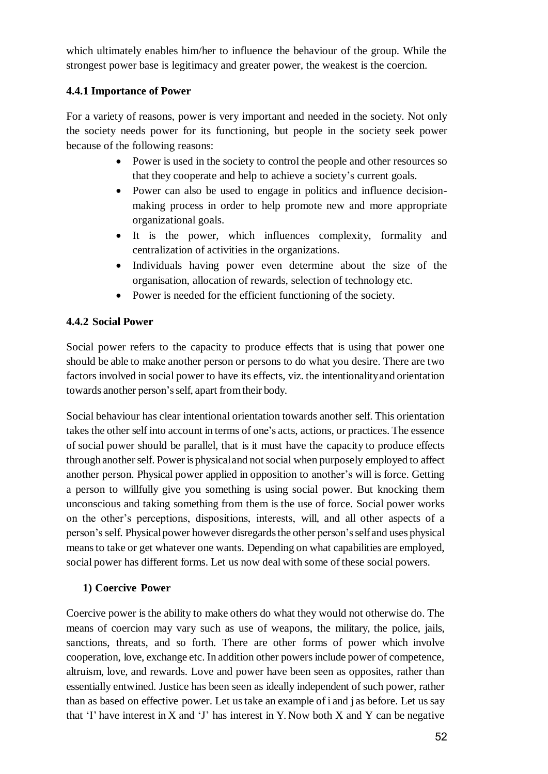which ultimately enables him/her to influence the behaviour of the group. While the strongest power base is legitimacy and greater power, the weakest is the coercion.

## **4.4.1 Importance of Power**

For a variety of reasons, power is very important and needed in the society. Not only the society needs power for its functioning, but people in the society seek power because of the following reasons:

- Power is used in the society to control the people and other resources so that they cooperate and help to achieve a society's current goals.
- Power can also be used to engage in politics and influence decisionmaking process in order to help promote new and more appropriate organizational goals.
- It is the power, which influences complexity, formality and centralization of activities in the organizations.
- Individuals having power even determine about the size of the organisation, allocation of rewards, selection of technology etc.
- Power is needed for the efficient functioning of the society.

## **4.4.2 Social Power**

Social power refers to the capacity to produce effects that is using that power one should be able to make another person or persons to do what you desire. There are two factors involved in social power to have its effects, viz. the intentionalityand orientation towards another person'sself, apart fromtheir body.

Social behaviour has clear intentional orientation towards another self. This orientation takes the other self into account in terms of one's acts, actions, or practices. The essence of social power should be parallel, that is it must have the capacity to produce effects through another self. Power is physical and not social when purposely employed to affect another person. Physical power applied in opposition to another's will is force. Getting a person to willfully give you something is using social power. But knocking them unconscious and taking something from them is the use of force. Social power works on the other's perceptions, dispositions, interests, will, and all other aspects of a person's self. Physicalpower however disregardsthe other person'sselfand uses physical means to take or get whatever one wants. Depending on what capabilities are employed, social power has different forms. Let us now deal with some of these social powers.

#### **1) Coercive Power**

Coercive power is the ability to make others do what they would not otherwise do. The means of coercion may vary such as use of weapons, the military, the police, jails, sanctions, threats, and so forth. There are other forms of power which involve cooperation, love, exchange etc. In addition other powersinclude power of competence, altruism, love, and rewards. Love and power have been seen as opposites, rather than essentially entwined. Justice has been seen as ideally independent of such power, rather than as based on effective power. Let ustake an example of i and j as before. Let ussay that 'I' have interest in X and 'J' has interest in Y. Now both X and Y can be negative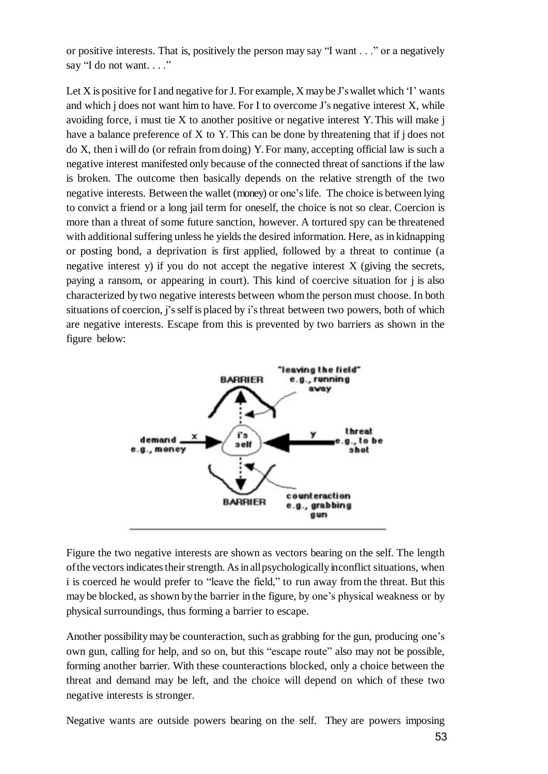or positive interests. That is, positively the person may say "I want . . ." or a negatively say "I do not want...."

Let X is positive for I and negative for J. For example, X may be J's wallet which 'I' wants and which j does not want him to have. For I to overcome J's negative interest X, while avoiding force, i must tie X to another positive or negative interest Y. This will make j have a balance preference of X to Y. This can be done by threatening that if j does not do X, then i will do (or refrain from doing) Y. For many, accepting official law is such a negative interest manifested only because of the connected threat of sanctions if the law is broken. The outcome then basically depends on the relative strength of the two negative interests. Between the wallet (money) or one'slife. The choice is between lying to convict a friend or a long jail term for oneself, the choice is not so clear. Coercion is more than a threat of some future sanction, however. A tortured spy can be threatened with additional suffering unless he yields the desired information. Here, as in kidnapping or posting bond, a deprivation is first applied, followed by a threat to continue (a negative interest y) if you do not accept the negative interest X (giving the secrets, paying a ransom, or appearing in court). This kind of coercive situation for j is also characterized by two negative interests between whom the person must choose. In both situations of coercion, j'sself is placed by i's threat between two powers, both of which are negative interests. Escape from this is prevented by two barriers as shown in the figure below:



Figure the two negative interests are shown as vectors bearing on the self. The length of the vectors indicates their strength. As in all psychologically inconflict situations, when i is coerced he would prefer to "leave the field," to run away from the threat. But this may be blocked, as shown bythe barrier in the figure, by one's physical weakness or by physical surroundings, thus forming a barrier to escape.

Another possibilitymay be counteraction, such as grabbing for the gun, producing one's own gun, calling for help, and so on, but this "escape route" also may not be possible, forming another barrier. With these counteractions blocked, only a choice between the threat and demand may be left, and the choice will depend on which of these two negative interests is stronger.

Negative wants are outside powers bearing on the self. They are powers imposing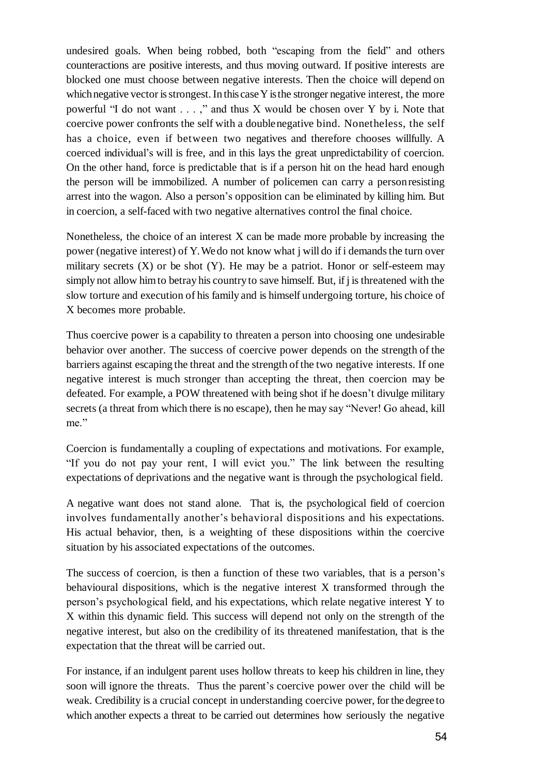undesired goals. When being robbed, both "escaping from the field" and others counteractions are positive interests, and thus moving outward. If positive interests are blocked one must choose between negative interests. Then the choice will depend on which negative vector is strongest. In this case Y is the stronger negative interest, the more powerful "I do not want . . . ," and thus X would be chosen over Y by i. Note that coercive power confronts the self with a doublenegative bind. Nonetheless, the self has a choice, even if between two negatives and therefore chooses willfully. A coerced individual's will is free, and in this lays the great unpredictability of coercion. On the other hand, force is predictable that is if a person hit on the head hard enough the person will be immobilized. A number of policemen can carry a personresisting arrest into the wagon. Also a person's opposition can be eliminated by killing him. But in coercion, a self-faced with two negative alternatives control the final choice.

Nonetheless, the choice of an interest X can be made more probable by increasing the power (negative interest) of Y. We do not know what j will do if i demands the turn over military secrets  $(X)$  or be shot  $(Y)$ . He may be a patriot. Honor or self-esteem may simply not allow him to betray his country to save himself. But, if j is threatened with the slow torture and execution of his family and is himself undergoing torture, his choice of X becomes more probable.

Thus coercive power is a capability to threaten a person into choosing one undesirable behavior over another. The success of coercive power depends on the strength of the barriers against escaping the threat and the strength of the two negative interests. If one negative interest is much stronger than accepting the threat, then coercion may be defeated. For example, a POW threatened with being shot if he doesn't divulge military secrets (a threat from which there is no escape), then he may say "Never! Go ahead, kill me."

Coercion is fundamentally a coupling of expectations and motivations. For example, "If you do not pay your rent, I will evict you." The link between the resulting expectations of deprivations and the negative want is through the psychological field.

A negative want does not stand alone. That is, the psychological field of coercion involves fundamentally another's behavioral dispositions and his expectations. His actual behavior, then, is a weighting of these dispositions within the coercive situation by his associated expectations of the outcomes.

The success of coercion, is then a function of these two variables, that is a person's behavioural dispositions, which is the negative interest X transformed through the person's psychological field, and his expectations, which relate negative interest Y to X within this dynamic field. This success will depend not only on the strength of the negative interest, but also on the credibility of its threatened manifestation, that is the expectation that the threat will be carried out.

For instance, if an indulgent parent uses hollow threats to keep his children in line, they soon will ignore the threats. Thus the parent's coercive power over the child will be weak. Credibility is a crucial concept in understanding coercive power, for the degree to which another expects a threat to be carried out determines how seriously the negative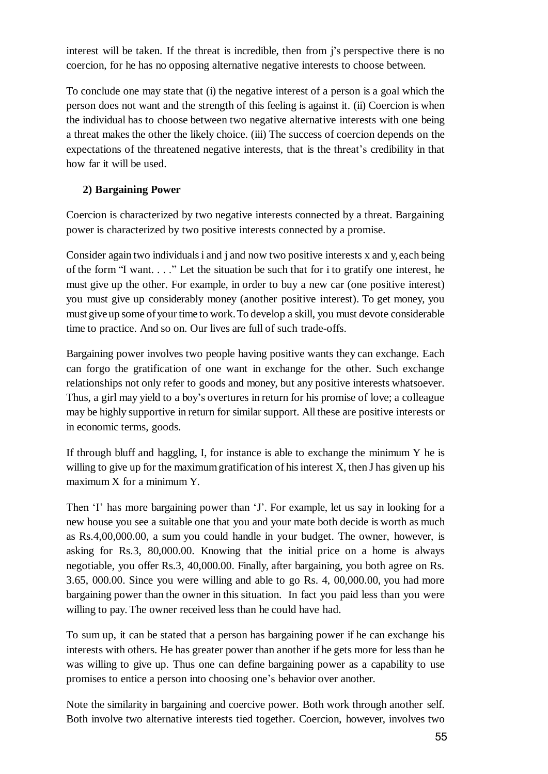interest will be taken. If the threat is incredible, then from j's perspective there is no coercion, for he has no opposing alternative negative interests to choose between.

To conclude one may state that (i) the negative interest of a person is a goal which the person does not want and the strength of this feeling is against it. (ii) Coercion is when the individual has to choose between two negative alternative interests with one being a threat makes the other the likely choice. (iii) The success of coercion depends on the expectations of the threatened negative interests, that is the threat's credibility in that how far it will be used.

## **2) Bargaining Power**

Coercion is characterized by two negative interests connected by a threat. Bargaining power is characterized by two positive interests connected by a promise.

Consider again two individuals i and j and now two positive interests x and y, each being of the form "I want. . . ." Let the situation be such that for i to gratify one interest, he must give up the other. For example, in order to buy a new car (one positive interest) you must give up considerably money (another positive interest). To get money, you must give up some ofyour time to work.To develop a skill, you must devote considerable time to practice. And so on. Our lives are full of such trade-offs.

Bargaining power involves two people having positive wants they can exchange. Each can forgo the gratification of one want in exchange for the other. Such exchange relationships not only refer to goods and money, but any positive interests whatsoever. Thus, a girl may yield to a boy's overtures in return for his promise of love; a colleague may be highly supportive in return for similar support. All these are positive interests or in economic terms, goods.

If through bluff and haggling, I, for instance is able to exchange the minimum Y he is willing to give up for the maximum gratification of his interest  $X$ , then J has given up his maximum X for a minimum Y.

Then 'I' has more bargaining power than 'J'. For example, let us say in looking for a new house you see a suitable one that you and your mate both decide is worth as much as Rs.4,00,000.00, a sum you could handle in your budget. The owner, however, is asking for Rs.3, 80,000.00. Knowing that the initial price on a home is always negotiable, you offer Rs.3, 40,000.00. Finally, after bargaining, you both agree on Rs. 3.65, 000.00. Since you were willing and able to go Rs. 4, 00,000.00, you had more bargaining power than the owner in this situation. In fact you paid less than you were willing to pay. The owner received less than he could have had.

To sum up, it can be stated that a person has bargaining power if he can exchange his interests with others. He has greater power than another if he gets more for less than he was willing to give up. Thus one can define bargaining power as a capability to use promises to entice a person into choosing one's behavior over another.

Note the similarity in bargaining and coercive power. Both work through another self. Both involve two alternative interests tied together. Coercion, however, involves two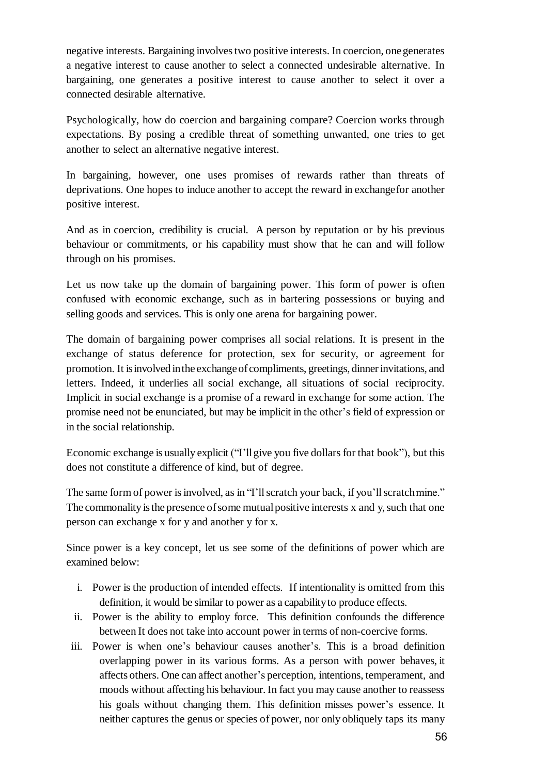negative interests. Bargaining involves two positive interests. In coercion, onegenerates a negative interest to cause another to select a connected undesirable alternative. In bargaining, one generates a positive interest to cause another to select it over a connected desirable alternative.

Psychologically, how do coercion and bargaining compare? Coercion works through expectations. By posing a credible threat of something unwanted, one tries to get another to select an alternative negative interest.

In bargaining, however, one uses promises of rewards rather than threats of deprivations. One hopes to induce another to accept the reward in exchangefor another positive interest.

And as in coercion, credibility is crucial. A person by reputation or by his previous behaviour or commitments, or his capability must show that he can and will follow through on his promises.

Let us now take up the domain of bargaining power. This form of power is often confused with economic exchange, such as in bartering possessions or buying and selling goods and services. This is only one arena for bargaining power.

The domain of bargaining power comprises all social relations. It is present in the exchange of status deference for protection, sex for security, or agreement for promotion. It is involved in the exchange of compliments, greetings, dinner invitations, and letters. Indeed, it underlies all social exchange, all situations of social reciprocity. Implicit in social exchange is a promise of a reward in exchange for some action. The promise need not be enunciated, but may be implicit in the other's field of expression or in the social relationship.

Economic exchange is usually explicit ("I'll give you five dollars for that book"), but this does not constitute a difference of kind, but of degree.

The same form of power is involved, as in "I'll scratch your back, if you'll scratch mine." The commonality is the presence of some mutual positive interests  $x$  and  $y$ , such that one person can exchange x for y and another y for x.

Since power is a key concept, let us see some of the definitions of power which are examined below:

- i. Power is the production of intended effects. If intentionality is omitted from this definition, it would be similar to power as a capabilityto produce effects.
- ii. Power is the ability to employ force. This definition confounds the difference between It does not take into account power in terms of non-coercive forms.
- iii. Power is when one's behaviour causes another's. This is a broad definition overlapping power in its various forms. As a person with power behaves, it affects others. One can affect another's perception, intentions, temperament, and moods without affecting his behaviour. In fact you may cause another to reassess his goals without changing them. This definition misses power's essence. It neither captures the genus or species of power, nor only obliquely taps its many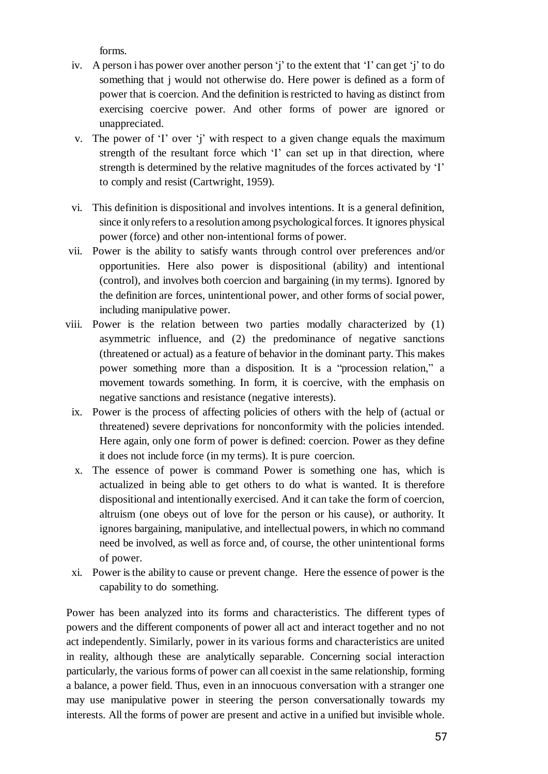forms.

- iv. A person i has power over another person 'j' to the extent that 'I' can get 'j' to do something that j would not otherwise do. Here power is defined as a form of power that is coercion. And the definition is restricted to having as distinct from exercising coercive power. And other forms of power are ignored or unappreciated.
- v. The power of 'I' over 'j' with respect to a given change equals the maximum strength of the resultant force which 'I' can set up in that direction, where strength is determined by the relative magnitudes of the forces activated by 'I' to comply and resist (Cartwright, 1959).
- vi. This definition is dispositional and involves intentions. It is a general definition, since it only refers to a resolution among psychological forces. It ignores physical power (force) and other non-intentional forms of power.
- vii. Power is the ability to satisfy wants through control over preferences and/or opportunities. Here also power is dispositional (ability) and intentional (control), and involves both coercion and bargaining (in my terms). Ignored by the definition are forces, unintentional power, and other forms of social power, including manipulative power.
- viii. Power is the relation between two parties modally characterized by (1) asymmetric influence, and (2) the predominance of negative sanctions (threatened or actual) as a feature of behavior in the dominant party. This makes power something more than a disposition. It is a "procession relation," a movement towards something. In form, it is coercive, with the emphasis on negative sanctions and resistance (negative interests).
	- ix. Power is the process of affecting policies of others with the help of (actual or threatened) severe deprivations for nonconformity with the policies intended. Here again, only one form of power is defined: coercion. Power as they define it does not include force (in my terms). It is pure coercion.
	- x. The essence of power is command Power is something one has, which is actualized in being able to get others to do what is wanted. It is therefore dispositional and intentionally exercised. And it can take the form of coercion, altruism (one obeys out of love for the person or his cause), or authority. It ignores bargaining, manipulative, and intellectual powers, in which no command need be involved, as well as force and, of course, the other unintentional forms of power.
	- xi. Power isthe ability to cause or prevent change. Here the essence of power is the capability to do something.

Power has been analyzed into its forms and characteristics. The different types of powers and the different components of power all act and interact together and no not act independently. Similarly, power in its various forms and characteristics are united in reality, although these are analytically separable. Concerning social interaction particularly, the various forms of power can all coexist in the same relationship, forming a balance, a power field. Thus, even in an innocuous conversation with a stranger one may use manipulative power in steering the person conversationally towards my interests. All the forms of power are present and active in a unified but invisible whole.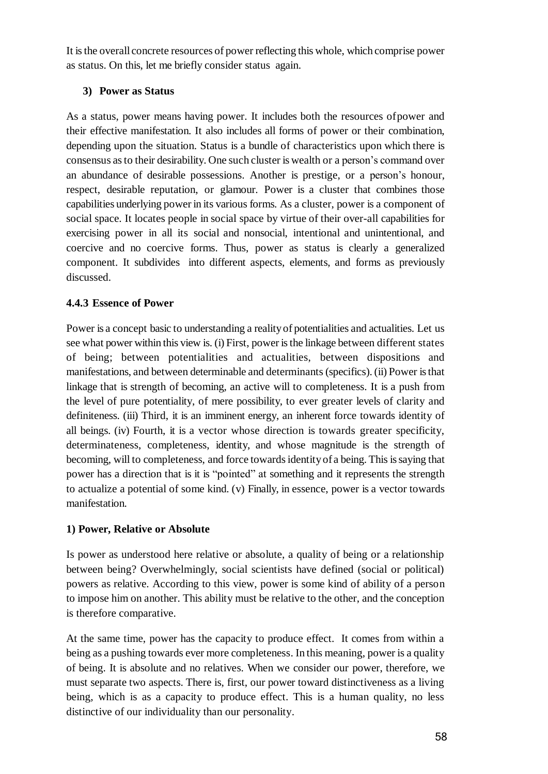It isthe overall concrete resources of power reflecting this whole, which comprise power as status. On this, let me briefly consider status again.

## **3) Power as Status**

As a status, power means having power. It includes both the resources ofpower and their effective manifestation. It also includes all forms of power or their combination, depending upon the situation. Status is a bundle of characteristics upon which there is consensus asto their desirability. One such cluster is wealth or a person's command over an abundance of desirable possessions. Another is prestige, or a person's honour, respect, desirable reputation, or glamour. Power is a cluster that combines those capabilities underlying power in its various forms. As a cluster, power is a component of social space. It locates people in social space by virtue of their over-all capabilities for exercising power in all its social and nonsocial, intentional and unintentional, and coercive and no coercive forms. Thus, power as status is clearly a generalized component. It subdivides into different aspects, elements, and forms as previously discussed.

## **4.4.3 Essence of Power**

Power is a concept basic to understanding a realityof potentialities and actualities. Let us see what power within this view is. (i) First, power isthe linkage between different states of being; between potentialities and actualities, between dispositions and manifestations, and between determinable and determinants (specifics). (ii) Power is that linkage that is strength of becoming, an active will to completeness. It is a push from the level of pure potentiality, of mere possibility, to ever greater levels of clarity and definiteness. (iii) Third, it is an imminent energy, an inherent force towards identity of all beings. (iv) Fourth, it is a vector whose direction is towards greater specificity, determinateness, completeness, identity, and whose magnitude is the strength of becoming, will to completeness, and force towards identity of a being. This is saying that power has a direction that is it is "pointed" at something and it represents the strength to actualize a potential of some kind. (v) Finally, in essence, power is a vector towards manifestation.

## **1) Power, Relative or Absolute**

Is power as understood here relative or absolute, a quality of being or a relationship between being? Overwhelmingly, social scientists have defined (social or political) powers as relative. According to this view, power is some kind of ability of a person to impose him on another. This ability must be relative to the other, and the conception is therefore comparative.

At the same time, power has the capacity to produce effect. It comes from within a being as a pushing towards ever more completeness. In this meaning, power is a quality of being. It is absolute and no relatives. When we consider our power, therefore, we must separate two aspects. There is, first, our power toward distinctiveness as a living being, which is as a capacity to produce effect. This is a human quality, no less distinctive of our individuality than our personality.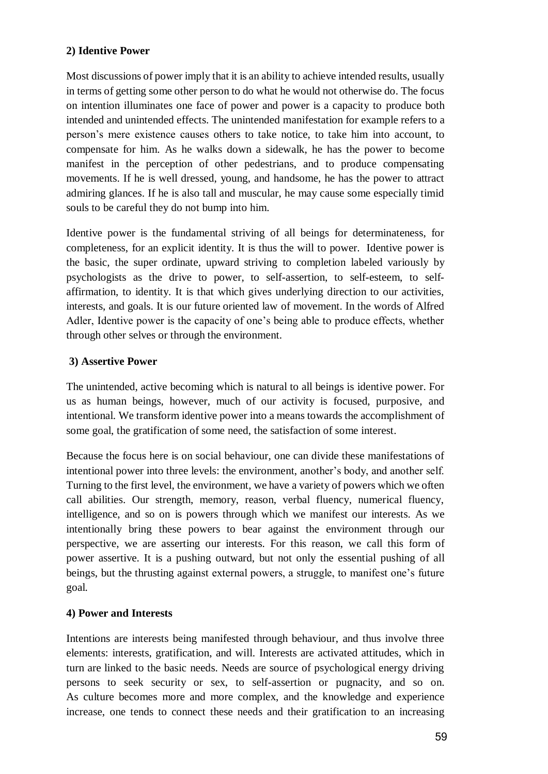## **2) Identive Power**

Most discussions of power imply that it is an ability to achieve intended results, usually in terms of getting some other person to do what he would not otherwise do. The focus on intention illuminates one face of power and power is a capacity to produce both intended and unintended effects. The unintended manifestation for example refers to a person's mere existence causes others to take notice, to take him into account, to compensate for him. As he walks down a sidewalk, he has the power to become manifest in the perception of other pedestrians, and to produce compensating movements. If he is well dressed, young, and handsome, he has the power to attract admiring glances. If he is also tall and muscular, he may cause some especially timid souls to be careful they do not bump into him.

Identive power is the fundamental striving of all beings for determinateness, for completeness, for an explicit identity. It is thus the will to power. Identive power is the basic, the super ordinate, upward striving to completion labeled variously by psychologists as the drive to power, to self-assertion, to self-esteem, to selfaffirmation, to identity. It is that which gives underlying direction to our activities, interests, and goals. It is our future oriented law of movement. In the words of Alfred Adler, Identive power is the capacity of one's being able to produce effects, whether through other selves or through the environment.

## **3) Assertive Power**

The unintended, active becoming which is natural to all beings is identive power. For us as human beings, however, much of our activity is focused, purposive, and intentional. We transform identive power into a means towards the accomplishment of some goal, the gratification of some need, the satisfaction of some interest.

Because the focus here is on social behaviour, one can divide these manifestations of intentional power into three levels: the environment, another's body, and another self. Turning to the first level, the environment, we have a variety of powers which we often call abilities. Our strength, memory, reason, verbal fluency, numerical fluency, intelligence, and so on is powers through which we manifest our interests. As we intentionally bring these powers to bear against the environment through our perspective, we are asserting our interests. For this reason, we call this form of power assertive. It is a pushing outward, but not only the essential pushing of all beings, but the thrusting against external powers, a struggle, to manifest one's future goal.

#### **4) Power and Interests**

Intentions are interests being manifested through behaviour, and thus involve three elements: interests, gratification, and will. Interests are activated attitudes, which in turn are linked to the basic needs. Needs are source of psychological energy driving persons to seek security or sex, to self-assertion or pugnacity, and so on. As culture becomes more and more complex, and the knowledge and experience increase, one tends to connect these needs and their gratification to an increasing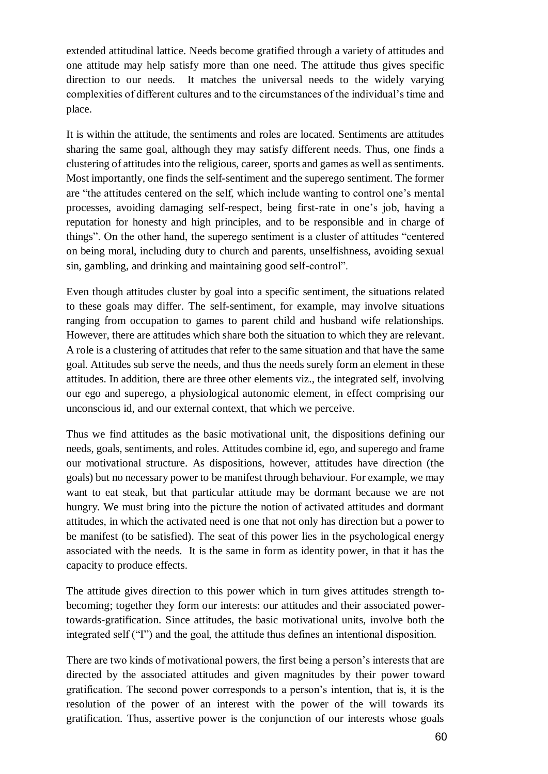extended attitudinal lattice. Needs become gratified through a variety of attitudes and one attitude may help satisfy more than one need. The attitude thus gives specific direction to our needs. It matches the universal needs to the widely varying complexities of different cultures and to the circumstances of the individual's time and place.

It is within the attitude, the sentiments and roles are located. Sentiments are attitudes sharing the same goal, although they may satisfy different needs. Thus, one finds a clustering of attitudes into the religious, career, sports and games as well as sentiments. Most importantly, one finds the self-sentiment and the superego sentiment. The former are "the attitudes centered on the self, which include wanting to control one's mental processes, avoiding damaging self-respect, being first-rate in one's job, having a reputation for honesty and high principles, and to be responsible and in charge of things". On the other hand, the superego sentiment is a cluster of attitudes "centered on being moral, including duty to church and parents, unselfishness, avoiding sexual sin, gambling, and drinking and maintaining good self-control".

Even though attitudes cluster by goal into a specific sentiment, the situations related to these goals may differ. The self-sentiment, for example, may involve situations ranging from occupation to games to parent child and husband wife relationships. However, there are attitudes which share both the situation to which they are relevant. A role is a clustering of attitudes that refer to the same situation and that have the same goal. Attitudes sub serve the needs, and thus the needs surely form an element in these attitudes. In addition, there are three other elements viz., the integrated self, involving our ego and superego, a physiological autonomic element, in effect comprising our unconscious id, and our external context, that which we perceive.

Thus we find attitudes as the basic motivational unit, the dispositions defining our needs, goals, sentiments, and roles. Attitudes combine id, ego, and superego and frame our motivational structure. As dispositions, however, attitudes have direction (the goals) but no necessary power to be manifest through behaviour. For example, we may want to eat steak, but that particular attitude may be dormant because we are not hungry. We must bring into the picture the notion of activated attitudes and dormant attitudes, in which the activated need is one that not only has direction but a power to be manifest (to be satisfied). The seat of this power lies in the psychological energy associated with the needs. It is the same in form as identity power, in that it has the capacity to produce effects.

The attitude gives direction to this power which in turn gives attitudes strength tobecoming; together they form our interests: our attitudes and their associated powertowards-gratification. Since attitudes, the basic motivational units, involve both the integrated self ("I") and the goal, the attitude thus defines an intentional disposition.

There are two kinds of motivational powers, the first being a person's interests that are directed by the associated attitudes and given magnitudes by their power toward gratification. The second power corresponds to a person's intention, that is, it is the resolution of the power of an interest with the power of the will towards its gratification. Thus, assertive power is the conjunction of our interests whose goals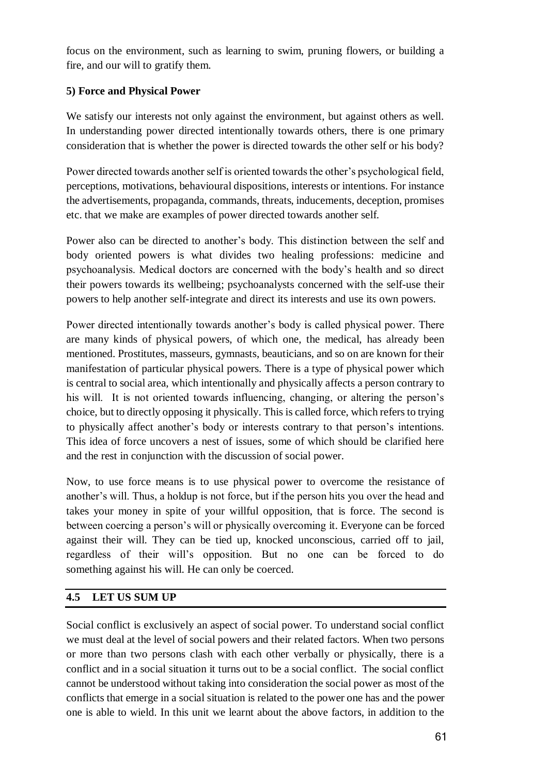focus on the environment, such as learning to swim, pruning flowers, or building a fire, and our will to gratify them.

## **5) Force and Physical Power**

We satisfy our interests not only against the environment, but against others as well. In understanding power directed intentionally towards others, there is one primary consideration that is whether the power is directed towards the other self or his body?

Power directed towards another self is oriented towards the other's psychological field, perceptions, motivations, behavioural dispositions, interests or intentions. For instance the advertisements, propaganda, commands, threats, inducements, deception, promises etc. that we make are examples of power directed towards another self.

Power also can be directed to another's body. This distinction between the self and body oriented powers is what divides two healing professions: medicine and psychoanalysis. Medical doctors are concerned with the body's health and so direct their powers towards its wellbeing; psychoanalysts concerned with the self-use their powers to help another self-integrate and direct its interests and use its own powers.

Power directed intentionally towards another's body is called physical power. There are many kinds of physical powers, of which one, the medical, has already been mentioned. Prostitutes, masseurs, gymnasts, beauticians, and so on are known for their manifestation of particular physical powers. There is a type of physical power which is central to social area, which intentionally and physically affects a person contrary to his will. It is not oriented towards influencing, changing, or altering the person's choice, but to directly opposing it physically. This is called force, which refers to trying to physically affect another's body or interests contrary to that person's intentions. This idea of force uncovers a nest of issues, some of which should be clarified here and the rest in conjunction with the discussion of social power.

Now, to use force means is to use physical power to overcome the resistance of another's will. Thus, a holdup is not force, but if the person hits you over the head and takes your money in spite of your willful opposition, that is force. The second is between coercing a person's will or physically overcoming it. Everyone can be forced against their will. They can be tied up, knocked unconscious, carried off to jail, regardless of their will's opposition. But no one can be forced to do something against his will. He can only be coerced.

#### **4.5 LET US SUM UP**

Social conflict is exclusively an aspect of social power. To understand social conflict we must deal at the level of social powers and their related factors. When two persons or more than two persons clash with each other verbally or physically, there is a conflict and in a social situation it turns out to be a social conflict. The social conflict cannot be understood without taking into consideration the social power as most of the conflicts that emerge in a social situation is related to the power one has and the power one is able to wield. In this unit we learnt about the above factors, in addition to the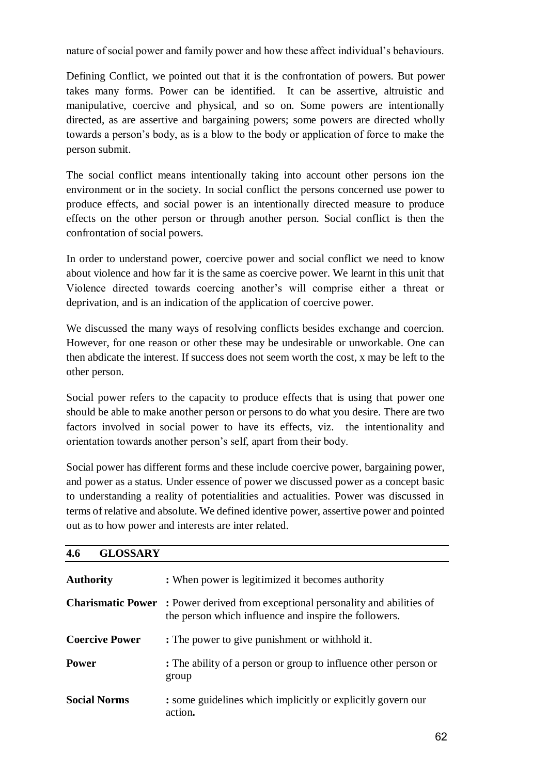nature of social power and family power and how these affect individual's behaviours.

Defining Conflict, we pointed out that it is the confrontation of powers. But power takes many forms. Power can be identified. It can be assertive, altruistic and manipulative, coercive and physical, and so on. Some powers are intentionally directed, as are assertive and bargaining powers; some powers are directed wholly towards a person's body, as is a blow to the body or application of force to make the person submit.

The social conflict means intentionally taking into account other persons ion the environment or in the society. In social conflict the persons concerned use power to produce effects, and social power is an intentionally directed measure to produce effects on the other person or through another person. Social conflict is then the confrontation of social powers.

In order to understand power, coercive power and social conflict we need to know about violence and how far it is the same as coercive power. We learnt in this unit that Violence directed towards coercing another's will comprise either a threat or deprivation, and is an indication of the application of coercive power.

We discussed the many ways of resolving conflicts besides exchange and coercion. However, for one reason or other these may be undesirable or unworkable. One can then abdicate the interest. If success does not seem worth the cost, x may be left to the other person.

Social power refers to the capacity to produce effects that is using that power one should be able to make another person or persons to do what you desire. There are two factors involved in social power to have its effects, viz. the intentionality and orientation towards another person's self, apart from their body.

Social power has different forms and these include coercive power, bargaining power, and power as a status. Under essence of power we discussed power as a concept basic to understanding a reality of potentialities and actualities. Power was discussed in terms of relative and absolute. We defined identive power, assertive power and pointed out as to how power and interests are inter related.

| <b>GLOSSARY</b><br>4.6 |                                                                                                                                                |
|------------------------|------------------------------------------------------------------------------------------------------------------------------------------------|
| <b>Authority</b>       | : When power is legitimized it becomes authority                                                                                               |
|                        | <b>Charismatic Power:</b> Power derived from exceptional personality and abilities of<br>the person which influence and inspire the followers. |
| <b>Coercive Power</b>  | : The power to give punishment or withhold it.                                                                                                 |
| <b>Power</b>           | : The ability of a person or group to influence other person or<br>group                                                                       |
| <b>Social Norms</b>    | : some guidelines which implicitly or explicitly govern our<br>action.                                                                         |